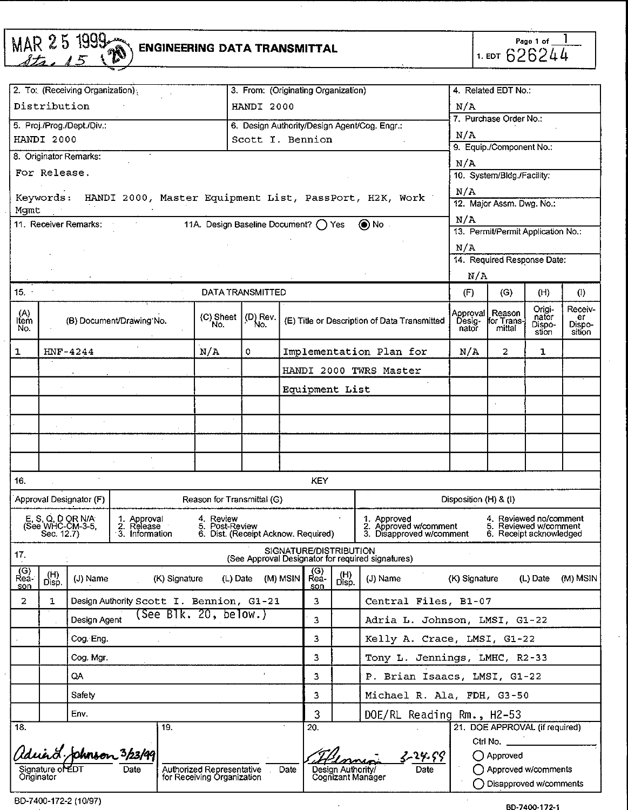|                    |                  | MAR 25 1999                                         | <b>ENGINEERING DATA TRANSMITTAL</b>                    |                                                                    |                                     |          |                |                   |                                                                             |                             | 1. EDT 626244                                                                | Page 1 of _                        |                                   |
|--------------------|------------------|-----------------------------------------------------|--------------------------------------------------------|--------------------------------------------------------------------|-------------------------------------|----------|----------------|-------------------|-----------------------------------------------------------------------------|-----------------------------|------------------------------------------------------------------------------|------------------------------------|-----------------------------------|
|                    |                  | 2. To: (Receiving Organization);                    |                                                        |                                                                    | 3. From: (Originating Organization) |          |                |                   |                                                                             |                             | 4. Related EDT No.:                                                          |                                    |                                   |
|                    | Distribution     |                                                     |                                                        |                                                                    | HANDI 2000                          |          |                |                   |                                                                             | N/A                         |                                                                              |                                    |                                   |
|                    |                  | 5. Proj./Prog./Dept./Div.;                          |                                                        |                                                                    |                                     |          |                |                   | 6. Design Authority/Design Agent/Cog. Engr.:                                |                             | 7. Purchase Order No.:                                                       |                                    |                                   |
|                    | HANDI 2000       |                                                     |                                                        |                                                                    | Scott I. Bennion                    |          |                |                   |                                                                             | N/A                         | 9. Equip./Component No.:                                                     |                                    |                                   |
|                    |                  | 8. Originator Remarks:                              |                                                        |                                                                    |                                     |          |                |                   |                                                                             | N/A                         |                                                                              |                                    |                                   |
|                    | For Release.     |                                                     |                                                        |                                                                    |                                     |          |                |                   |                                                                             |                             | 10. System/Bldg./Facility:                                                   |                                    |                                   |
| Mqmt               | Keywords:        |                                                     | HANDI 2000, Master Equipment List, PassPort, H2K, Work |                                                                    |                                     |          |                |                   |                                                                             | N/A                         | 12. Major Assm. Dwg. No.:                                                    |                                    |                                   |
|                    |                  | 11. Receiver Remarks:                               |                                                        | 11A. Design Baseline Document? ( ) Yes                             |                                     |          |                |                   | () No                                                                       | N/A                         |                                                                              |                                    |                                   |
|                    |                  |                                                     |                                                        |                                                                    |                                     |          |                |                   |                                                                             |                             | 13. Permit/Permit Application No.:                                           |                                    |                                   |
|                    |                  |                                                     |                                                        |                                                                    |                                     |          |                |                   |                                                                             | N/A                         | 14. Required Response Date:                                                  |                                    |                                   |
|                    |                  |                                                     |                                                        |                                                                    |                                     |          |                |                   |                                                                             | N/A                         |                                                                              |                                    |                                   |
| 15.                |                  |                                                     |                                                        | DATA TRANSMITTED                                                   |                                     |          |                |                   |                                                                             | (F)                         | (G)                                                                          | (H)                                | (1)                               |
| (A)<br>Item<br>No. |                  |                                                     | (B) Document/Drawing No.                               | (C) Sheet<br>No.                                                   | (D) Rev.                            |          |                |                   | (E) Title or Description of Data Transmitted                                | Approval<br>Desig-<br>nator | Reason<br>for Trans<br>mittal                                                | Origi-<br>nator<br>Dispo-<br>stion | Receiv-<br>er<br>Dispo-<br>sition |
| 1                  |                  | HNF-4244                                            |                                                        | N/A                                                                | 0                                   |          |                |                   | Implementation Plan for                                                     | N/A                         | 2                                                                            | 1                                  |                                   |
|                    |                  |                                                     |                                                        |                                                                    |                                     |          |                |                   | HANDI 2000 TWRS Master                                                      |                             |                                                                              |                                    |                                   |
|                    |                  |                                                     |                                                        |                                                                    |                                     |          | Equipment List |                   |                                                                             |                             |                                                                              |                                    |                                   |
|                    |                  |                                                     |                                                        |                                                                    |                                     |          |                |                   |                                                                             |                             |                                                                              |                                    |                                   |
|                    |                  |                                                     |                                                        |                                                                    |                                     |          |                |                   |                                                                             |                             |                                                                              |                                    |                                   |
|                    |                  |                                                     |                                                        |                                                                    |                                     |          |                |                   |                                                                             |                             |                                                                              |                                    |                                   |
|                    |                  |                                                     |                                                        |                                                                    |                                     |          |                |                   |                                                                             |                             |                                                                              |                                    |                                   |
| 16.                |                  |                                                     |                                                        |                                                                    |                                     |          | KEY            |                   |                                                                             |                             |                                                                              |                                    |                                   |
|                    |                  | Approval Designator (F)                             |                                                        | Reason for Transmittal (G)                                         |                                     |          |                |                   |                                                                             | Disposition (H) & (I)       |                                                                              |                                    |                                   |
|                    |                  | E, S, O, D OR N/A<br>(See WHC-CM-3-5,<br>Sec. 12.7) | 1. Approval<br>2. Release<br>3. Information            | 4. Review<br>5. Post-Review<br>6. Dist. (Receipt Acknow. Required) |                                     |          |                |                   | 1. Approved<br>2. Approved w/comment<br>3. Disapproved w/comment            |                             | 4. Reviewed no/comment<br>5. Reviewed w/comment<br>6. Receipt acknowledged   |                                    |                                   |
| 17.                |                  |                                                     |                                                        |                                                                    |                                     |          |                |                   | SIGNATURE/DISTRIBUTION<br>(See Approval Designator for required signatures) |                             |                                                                              |                                    |                                   |
| (G)<br>Rea-<br>son | (H)<br>Disp.     | (J) Name                                            | (K) Signature                                          | $(L)$ Date                                                         |                                     | (M) MSIN | $R$ ea-<br>son | (H)<br>Disp.      | (J) Name                                                                    | (K) Signature               |                                                                              | (L) Date (M) MSIN                  |                                   |
| 2                  | $\mathbf{1}$     |                                                     | Design Authority Scott I. Bennion, G1-21               |                                                                    |                                     |          | 3              |                   | Central Files, B1-07                                                        |                             |                                                                              |                                    |                                   |
|                    |                  | Design Agent                                        | (See Blk. 20, below.)                                  |                                                                    |                                     |          | 3              |                   | Adria L. Johnson, LMSI, G1-22                                               |                             |                                                                              |                                    |                                   |
|                    |                  | Cog. Eng.                                           |                                                        |                                                                    |                                     |          | 3              |                   | Kelly A. Crace, LMSI, G1-22                                                 |                             |                                                                              |                                    |                                   |
|                    |                  | Cog. Mgr.                                           |                                                        |                                                                    |                                     |          | 3              |                   | Tony L. Jennings, LMHC, R2-33                                               |                             |                                                                              |                                    |                                   |
|                    |                  | QA                                                  |                                                        |                                                                    |                                     |          | 3              |                   | P. Brian Isaacs, LMSI, G1-22                                                |                             |                                                                              |                                    |                                   |
|                    |                  | Safety                                              |                                                        |                                                                    |                                     |          | 3              |                   | Michael R. Ala, FDH, G3-50                                                  |                             |                                                                              |                                    |                                   |
|                    |                  | Env.                                                |                                                        |                                                                    |                                     |          | 3              |                   | DOE/RL Reading Rm., H2-53                                                   |                             |                                                                              |                                    |                                   |
| $\overline{18}$    |                  |                                                     | 19.                                                    |                                                                    |                                     |          | 20.            |                   |                                                                             |                             | 21. DOE APPROVAL (if required)                                               |                                    |                                   |
| Originator         | Signature or EDT |                                                     | Iduard phonson 3/23/99<br>Date                         | Authorized Representative<br>for Receiving Organization            |                                     | Date     |                | Design Authority/ | 3-24.99<br>Date<br>Cognizant Manager                                        |                             | Ctrl No.<br>◯ Approved<br>() Approved w/comments<br>◯ Disapproved w/comments |                                    |                                   |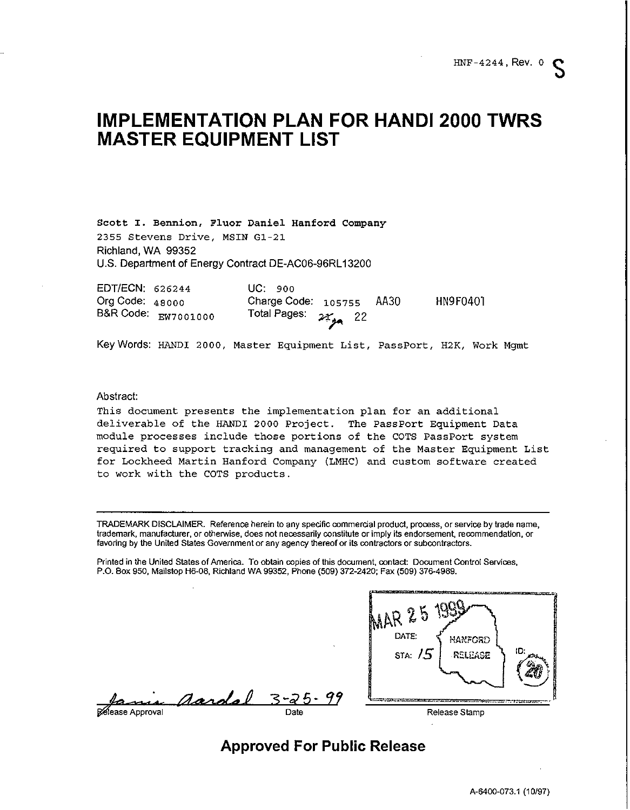# **IMPLEMENTATION PLAN FOR HANDI 2000 TWRS MASTER EQUIPMENT LIST**

**Scott 1.** *Bennion, Fluor Daniel Hanford Company 2355 Stevens Drive, MSIN G1-21 Richland, WA 99352 U.S. Department of Energy Contract DE-AC06-96RLI 3200*

*EDTIECN:* **626244** *Uc: 900 Org Code:* **48000** *Charge Code:* 105755 *AA30 HN9F0401 B&R Code: ~w7001000 Total Pages: ~ 22*  $2\epsilon_{\text{gas}}$  22

*Key Words:* HANDI 2000, *Master Equipment List, PassPort, H2K, Work Mgmt*

#### *Abstract*

*This document presents the implementation plan for an additional deliverable of the HANDI 2000 Project. The Pas sPort Equipment Data module processes include those portions of the COTS PassPort system required to support tracking and management of the Master Equipment List for Lockheed Martin Hanford Company (LMHC) and custom software created to work with the COTS products*

**TRADEMARK DISCLAIMER. Reference herein to any spstific commerckl product,procsss,or servica by trade nsme, trsdemsrk, manufacturer,or otherwise,does not necessarilyconstituteor imply ik endorsement, recommendation,or fsvoringby the United States Governmentor any agency thereof or ik contractorsor subcontractors.**

**Printed in the United States of America. To obtaincopiesof thisdocument, omkact Document Control Services, P.O. Box 950, Mailstop H6.08, RichlsndWA 99352, Phone (509) 372-242& Fax (509) 378-4888.**



*Approved For Public Release*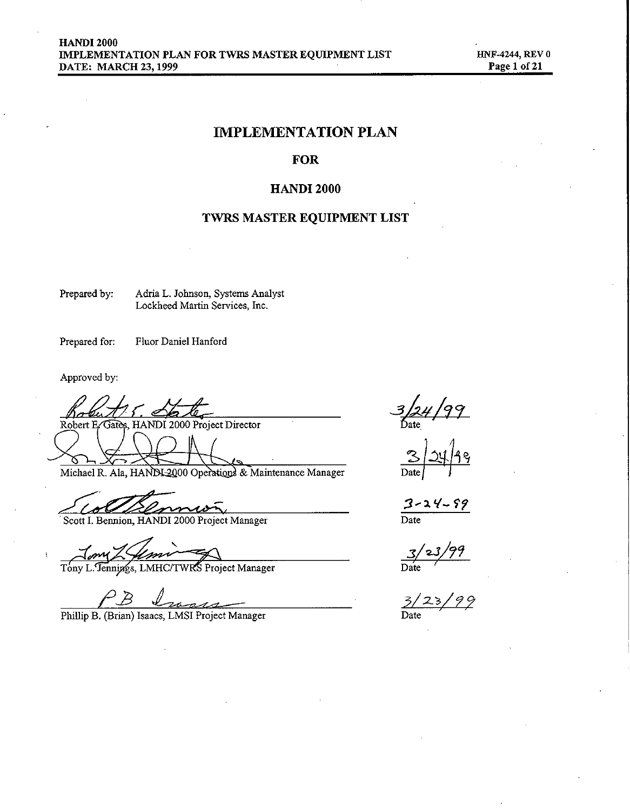## **IMPLEMENTATION PLAN**

## **FOR**

## **HANDI 2000**

## TWRS MASTER EQUIPMENT LIST

Prepared by: Adria L. Johnson, Systems Analyst Lockheed Martin Services, Inc.

Prepared for: Fluor Daniel Hanford

Approved by:

Robert E 2000 Project Director Gatès, HAND

Michael R. Ala, HANDI 2000 Operations & Maintenance Manager

Scott I. Bennion, HANDI 2000 Project Manager

Um

Tony L. Tennings, LMHC/TWRS Project Manager

Phillip B. (Brian) Isaacs, LMSI Project Manager

 $\frac{3}{24}/99$ <br>Bate

 $\frac{3 - 24 - 99}{\text{Date}}$ 

 $3/23/99$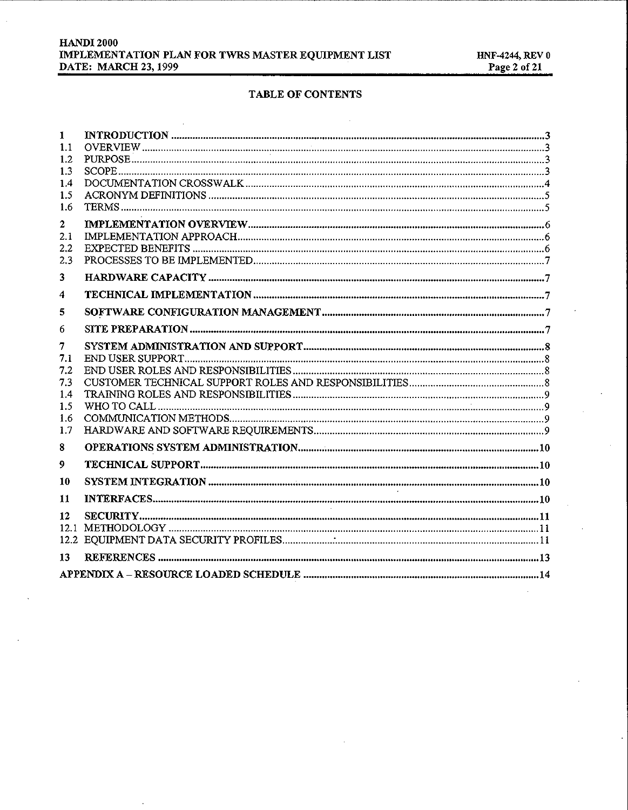| <b>HANDI 2000</b>                                  |
|----------------------------------------------------|
| IMPLEMENTATION PLAN FOR TWRS MASTER EQUIPMENT LIST |
| <b>DATE: MARCH 23, 1999</b>                        |

## TABLE OF CONTENTS

| 1            |  |
|--------------|--|
| 1.1          |  |
| 1.2          |  |
| 1.3          |  |
| 1.4          |  |
| 1.5          |  |
| 1.6          |  |
| $\mathbf{2}$ |  |
| 2.1          |  |
| $2.2\,$      |  |
| 2.3          |  |
| 3            |  |
| 4            |  |
| 5            |  |
| 6            |  |
| 7            |  |
| 7.1          |  |
| 7.2          |  |
| 7.3          |  |
| 1.4          |  |
| 1.5          |  |
| 1.6          |  |
| 1.7          |  |
| 8            |  |
| 9            |  |
| 10           |  |
| 11           |  |
| 12           |  |
| 12.1         |  |
|              |  |
| 13           |  |
|              |  |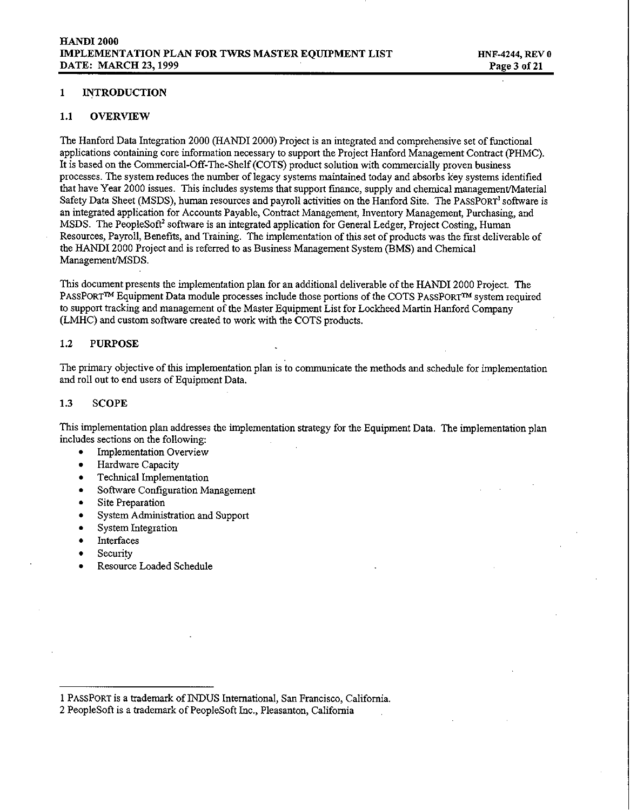#### *1 INTRODUCTION*

#### *1.1 OVERVIEW*

*The Hanford Data Integration 2000 (HANDI 2000) Project is an integrated and comprehensive set of functional applications containing core information necessary to support the Project Hanford Management Contract (PHMC). It is based on the Commercial-Off-The-Shelf (COTS) product solution with commercially proven business processes. The system reduces the number of legacy systems maintained today and absorbs key systems identified that have Yea 2000 issues. This includes systems that support finance, supply and chemical managementlMaterial Safety Data Sheet (MSDS), human resources and payroll activities on the Hanford Site. The PASSPORT'software is an integrated application for Accounts Payable, Contract Management, Inventory Management, Purchasing, and MSDS. The PeopleSoff software is an integrated application for General Ledger, Project Costing, Human* Resources, Payroll, Benefits, and Training. The implementation of this set of products was the first deliverable of *the HANDI 2000 Project and is refereed to as Business Management System (BMS) and Chemical* Management/MSDS.

*This document presents the implementation plan for an additional deliverable of the HANDI 2000 Project. The PASSPORT~ Equipment Data module processes include those portions of the COTS PASSPOR~ system required to support tracking and management of the Master Equipment List for Lockheed Maxtin Hanford Company (LMHC) and custom software created to work with the COTS products.*

#### *1.2 PURPOSE*

*The primary objective of this implementation plan is to communicate the methods and schedule for implementation and roll out to end users of Equipment Data,*

### *1.3 SCOPE*

*This implementation plan addresses the implementation strategy for the Equipment Data, The implementation plan includes sections on the following*

- *. Implementation Ovewiew*
- *. Hardware Capacity*
- *. Technical Implementation*
- *. Software Configuration Management*
- *. Site Preparation*
- *. System Administration and Support*
- *. System Integration*
- *. Interfaces*
- *. Security*
- *. Resource Loaded Schedule*

*<sup>1</sup> PASSPORTis a trademark of INDUS International, San Francisco, California,*

*<sup>2</sup> PeopleSoft is a trademark of PeopleSoft Inc., Pleasanton, California*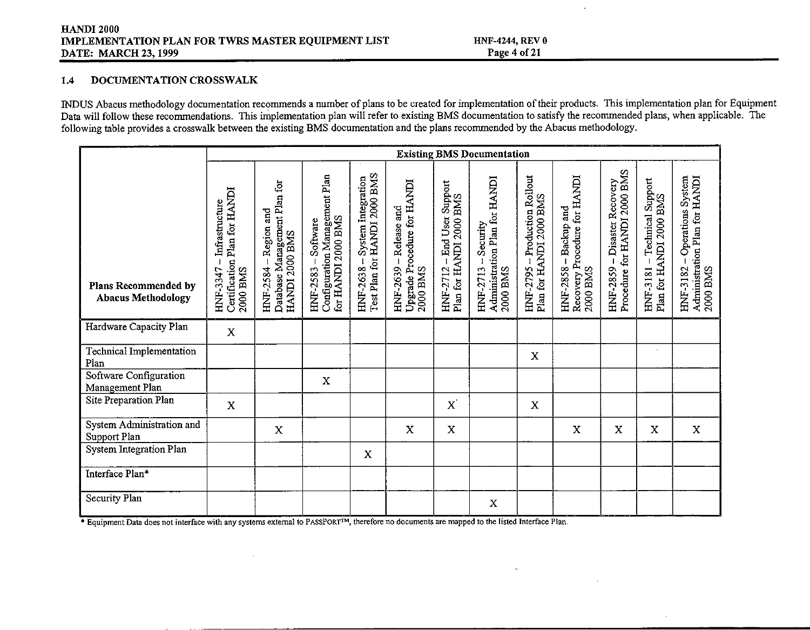### *1.4 DOCUMENTATION CROSSWALK*

INDUS Abacus methodology documentation recommends a number of plans to be created for implementation of their products. This implementation plan for Equipment Data will follow these recommendations. This implementation plan will refer to existing BMS documentation to satisfy the recommended plans, when applicable. The following table provides a crosswalk between the existing BMS documentation and the plans recommended by the Abacus methodology.

|                                                   |                                                                         |                                                                          |                                                                                                         |                                                                |                                                                     |                                                           | <b>Existing BMS Documentation</b>                                 |                                                                             |                                                                             |                                                              |                                                         |                                                                             |
|---------------------------------------------------|-------------------------------------------------------------------------|--------------------------------------------------------------------------|---------------------------------------------------------------------------------------------------------|----------------------------------------------------------------|---------------------------------------------------------------------|-----------------------------------------------------------|-------------------------------------------------------------------|-----------------------------------------------------------------------------|-----------------------------------------------------------------------------|--------------------------------------------------------------|---------------------------------------------------------|-----------------------------------------------------------------------------|
| Plans Recommended by<br><b>Abacus Methodology</b> | Certification Plan for HANDI<br>Infrastructure<br>HNF-3347-<br>2000 BMS | Database Management Plan for<br>Region and<br>HANDI 2000 BMS<br>HNF-2584 | Configuration Management Plan<br>for HANDI 2000 BMS<br>Software<br>$\overline{\phantom{a}}$<br>HNF-2583 | Test Plan for HANDI 2000 BMS<br>System Integration<br>HNF-2638 | Upgrade Procedure for HANDI<br>-Release and<br>HNF-2639<br>2000 BMS | - End User Support<br>Plan for HANDI 2000 BMS<br>HNF-2712 | Administration Plan for HANDI<br>Security<br>2000 BMS<br>HNF-2713 | HNF-2795 – Production Rollout<br>Plan for HANDI 2000 BMS<br><b>HNF-2795</b> | Recovery Procedure for HANDI<br>2000 BMS<br>- Backup and<br><b>HNF-2858</b> | HNF-2859 – Disaster Recovery<br>Procedure for HANDI 2000 BMS | HNF-3181 – Technical Support<br>Plan for HANDI 2000 BMS | Administration Plan for HANDI<br>2000 BMS<br>Operations System<br>HNF-3182- |
| Hardware Capacity Plan                            | X                                                                       |                                                                          |                                                                                                         |                                                                |                                                                     |                                                           |                                                                   |                                                                             |                                                                             |                                                              |                                                         |                                                                             |
| Technical Implementation<br>Plan                  |                                                                         |                                                                          |                                                                                                         |                                                                |                                                                     |                                                           |                                                                   | X                                                                           |                                                                             |                                                              |                                                         |                                                                             |
| Software Configuration<br>Management Plan         |                                                                         |                                                                          | X                                                                                                       |                                                                |                                                                     |                                                           |                                                                   |                                                                             |                                                                             |                                                              |                                                         |                                                                             |
| Site Preparation Plan                             | $\mathbf{x}$                                                            |                                                                          |                                                                                                         |                                                                |                                                                     | $\mathbf{x}$                                              |                                                                   | X                                                                           |                                                                             |                                                              |                                                         |                                                                             |
| System Administration and<br>Support Plan         |                                                                         | X                                                                        |                                                                                                         |                                                                | X                                                                   | X                                                         |                                                                   |                                                                             | X                                                                           | X                                                            | X                                                       | X                                                                           |
| System Integration Plan                           |                                                                         |                                                                          |                                                                                                         | X                                                              |                                                                     |                                                           |                                                                   |                                                                             |                                                                             |                                                              |                                                         |                                                                             |
| Interface Plan*                                   |                                                                         |                                                                          |                                                                                                         |                                                                |                                                                     |                                                           |                                                                   |                                                                             |                                                                             |                                                              |                                                         |                                                                             |
| Security Plan                                     |                                                                         |                                                                          |                                                                                                         |                                                                |                                                                     |                                                           | x                                                                 |                                                                             |                                                                             |                                                              |                                                         |                                                                             |

**\*** Equipment Data does not interface with any systems external to PASSPORT<sup>TM</sup>, therefore no documents are mapped to the listed Interface Plan.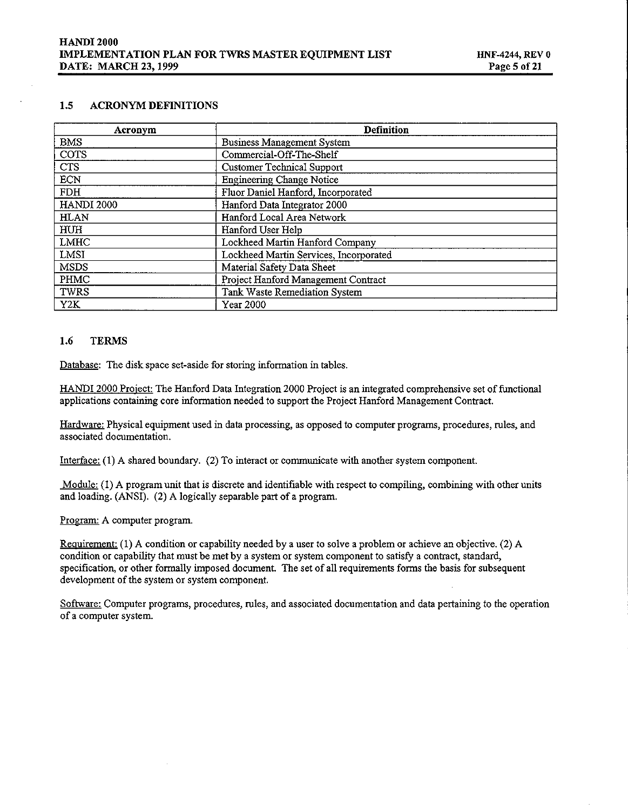#### *1.5 ACRONYM DEFINITIONS*

| Acronym           | <b>Definition</b>                      |
|-------------------|----------------------------------------|
| <b>BMS</b>        | <b>Business Management System</b>      |
| COTS              | Commercial-Off-The-Shelf               |
| <b>CTS</b>        | <b>Customer Technical Support</b>      |
| <b>ECN</b>        | <b>Engineering Change Notice</b>       |
| <b>FDH</b>        | Fluor Daniel Hanford, Incorporated     |
| <b>HANDI 2000</b> | Hanford Data Integrator 2000           |
| <b>HLAN</b>       | Hanford Local Area Network             |
| HUH               | Hanford User Help                      |
| LMHC              | Lockheed Martin Hanford Company        |
| LMSI              | Lockheed Martin Services, Incorporated |
| MSDS              | Material Safety Data Sheet             |
| PHMC              | Project Hanford Management Contract    |
| TWRS              | Tank Waste Remediation System          |
| Y2K               | Year 2000                              |

#### *1.6 TERMS*

*Database: The disk space set-aside for storing information in tables.*

*HANDI 2000 Proiecfi The Hanford Data Integration 2000 Project is an integrated comprehensive set of functional applications containing core information needed to suppoti the Project Hanford Management* **Contract.**

*Hardware: Physical equipment used in data processing, as opposed to computer programs, procedures, rides, and associated documentation.*

*Interface (1) A shared boundary. (2) To interact or communicate with another system component.*

Module: (1) A program unit that is discrete and identifiable with respect to compiling, combining with other units *and loading. (ANSI). (2) A logically separable pafi of a program.*

*Program: A computer program.* 

Requirement: (1) A condition or capability needed by a user to solve a problem or achieve an objective. (2) A condition or capability that must be met by a system or system component to satisfy a contract, standard, *specification, or other formally imposed document. The set of all requtiements forms the basis for subsequent development of the system or system component.*

*Software Computer programs, procedures, rules, and associated documentation and data petiaining to the operation of a computer system.*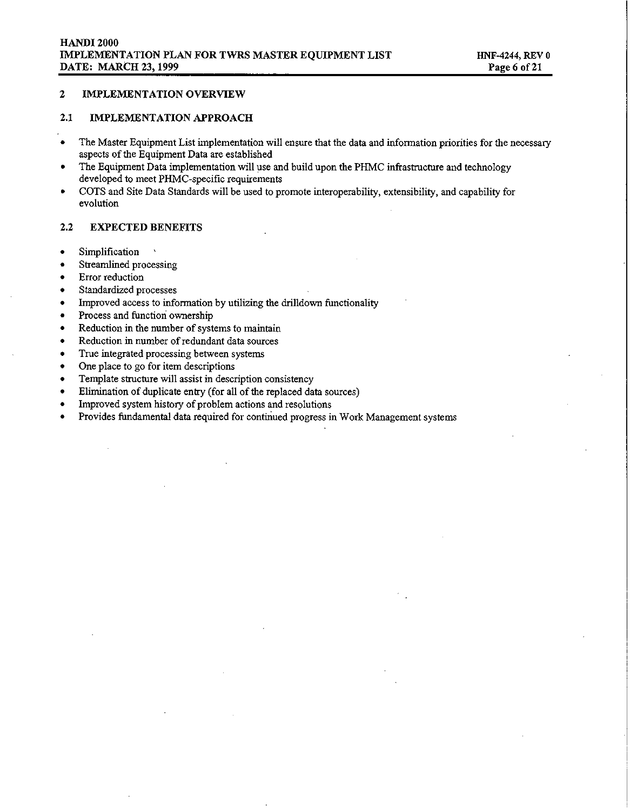#### *2 IMPLEMENTATION OVERVIEW*

#### *2.1 IMPLEMENTATION APPROACH*

- *The Master Equipment List implementation will ensure that the data and information priorities for the necessa~ aspects of the Equipment Data are established*
- *. The Equipment Data implementation will use and build upon the PHMC infrastructure and technology developed to meet PHMC-specific requirements*
- *. COTS and Site Data Standards will be used to promote interoperability, extensibility, and capability for evolution*

#### *2.2 EXPECTED BENEFITS*

- *. Simplification ~*
- *Streamlined processing*
- *. Error reduction*
- *. Standardized processes*
- *. Improved access to information by utiliziig the drilldown functionality*
- *. Process and function ownership*
- *. Reduction in the number of systems to maintain*
- *. Reduction in number of redundant data sources*
- *. True integrated processing between systems*
- *. One place to go for item descriptions*
- *. Template structure will assist in description consistency*
- *. Elimination of duplicate entry (for all of the replaced data sources)*
- *. Improved system history of problem actions and resolutions*
- *. Provides fundamental data required for contiriued progress in Work Management systems*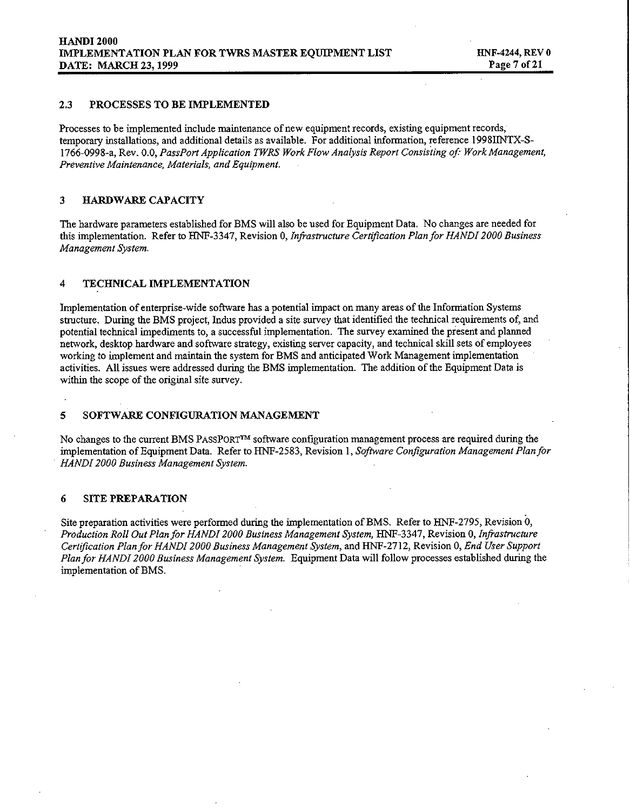#### *2.3 PROCESSES TO BE IMPLEMENTED*

*Processes to be implemented include maintenance of new equipment records, existing equipment records, temporary installation, and additional details as available. For additional information, reference 199811NTX-S-1766-0998-a, Rev. 0.0, PassPort Application TWRS Work Flow Analysis Report Consisting of Work Management, Preventive Maintenance, Materials, and Equipment.*

#### *3 HARDWARR CAPACITY*

The hardware parameters established for BMS will also be used for Equipment Data. No changes are needed for *this* implementation. Refer to HNF-3347, Revision 0, Infrastructure Certification Plan for HANDI 2000 Business *Management System.*

#### *4 TECHNICAL IMPLEMENTATION*

*Implementation of enterprise-wide soflware has a potential impact on many areas of the Information Systems* structure. During the BMS project, Indus provided a site survey that identified the technical requirements of, and *potential technical impediments to, a successfid implementation. The survey examined the present and planned network, desktop hardware and software strategy, existing server capacity, and technical skill sets of employees working to implement and maintain the system for BMS and anticipated Work Management implementation activities. All issues were addressed during the BMS implementation. The addition of the Equipment Data is within the scope of the original site survey.*

#### *5 SOFTWARE CONFIGURATION MANAGEMENT*

*No* changes to the current BMS PASSPORT<sup>TM</sup> software configuration management process are required during the *implementation* of *Equipment Data.* Refer to *HNF-2583, Revision 1, Software Configuration Management Plan for HANDI 2000 Business Management System.*

#### *6 SITE PREPARATION*

*Site preparation activities were performed during the implementation of BMS. Refer to HNF-2795, Revision O, Production Roll Out Plan for HANDI 2000 Business Management System, HNF-3347, Revision O,In@structure Certl@cation Plan for HANDI 2000 Business Management System, and HNF-2712, Revision O,End User Support Plan for HANDI 2000 Business Management System. Equipment Data will follow processes established during the implementation of BMS.*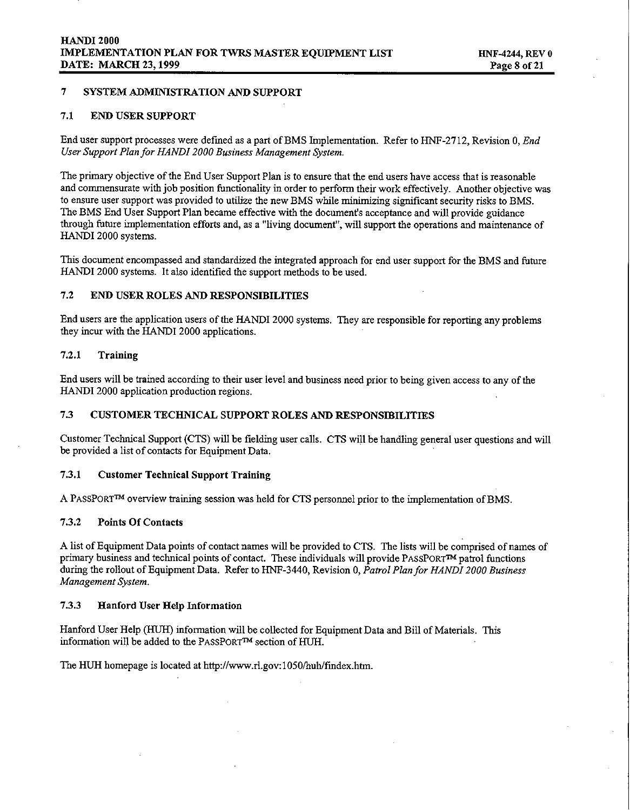#### *7 SYSTEM ADMINISTRATION AND SUPPORT*

#### *7.1 END USER SUPPORT*

End user support processes were defined as a part of BMS Implementation. Refer to HNF-2712, Revision 0. End *User Support Plan for HANDI 2000 Business Management System.*

The primary objective of the End User Support Plan is to ensure that the end users have access that is reasonable and commensurate with job position functionality in order to perform their work effectively. Another objective was to ensure user support was provided to utilize the new BMS while minimizing significant security risks to BMS. *The BMS End User Support Plan became effective with the document's acceptance and will provide guidance* through future implementation efforts and, as a "living document", will support the operations and maintenance of *HANDI 2000 systems.*

This document encompassed and standardized the integrated approach for end user support for the BMS and future *HANDI 2000 systems. It also identified tie support methods to be used.*

#### *7.2 END USER ROLES AND RESPONSIBILITIES*

End users are the application users of the HANDI 2000 systems. They are responsible for reporting any problems *they incur with the HANDI 2000 applications.*

#### *7.2.1 Training*

End users will be trained according to their user level and business need prior to being given access to any of the *HANDI 2000 application production regions,*

#### *7.3 CUSTOMER TECHNICAL SUPPORT ROLES AND RESPONSIBILITIES*

Customer Technical Support (CTS) will be fielding user calls. CTS will be handling general user questions and will *be provided a list of contacts for Equipment Data,*

#### *7.3.1 Customer TechnicaI Support Training*

*A PASSPORT~ ovewiew training session was held for CTS personnel prior to the implementation of BMS,*

### *7.3.2 Points Of Contacts*

A list of Equipment Data points of contact names will be provided to CTS. The lists will be comprised of names of *primary* business and *technical* points of contact. These individuals will provide PASSPORT<sup>TM</sup> patrol functions *during the rollout of Equipment Data. Refer to HNF-3440, Revision O,Patrol Plan for HANDI 2000 Business Management System.*

## *7.3.3 Hanford User HeIp Information*

*Hanford User Help (HUH) information will be collected for Equipment Data and Bill of Materials. This information will be added to the PASSPORP section of HUH.*

*The HUH homepage is located at htt@/www.rl.gow 1050ihuh/fmdex.htm.*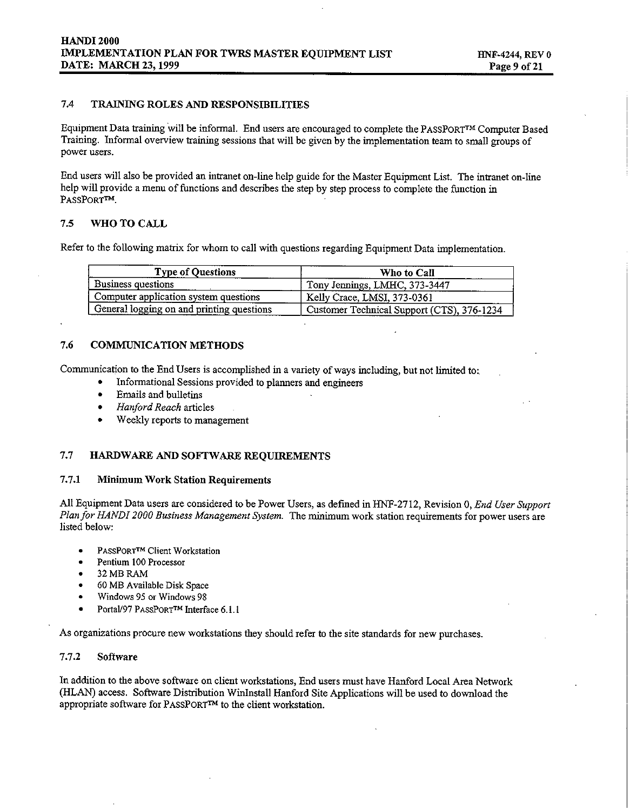#### *7.4 TRAINING ROLES AND RESPONSIBILITIES*

*Equipment Data training will be informal, End users are encouraged to complete the PASSPORV Computer Based* Training. Informal overview training sessions that will be given by the implementation team to small groups of *power users.*

End users will also be provided an intranet on-line help guide for the Master Equipment List. The intranet on-line help will provide a menu of functions and describes the step by step process to complete the function in *PASSPORfi.*

#### *7.5 WHO TO CALL*

*Refer to the following matrix for whom to call with questions regarding Equipment Data implementation.*

| <b>Type of Questions</b>                  | Who to Call                                |
|-------------------------------------------|--------------------------------------------|
| Business questions                        | Tony Jennings, LMHC, 373-3447              |
| Computer application system questions     | Kelly Crace, LMSI, 373-0361                |
| General logging on and printing questions | Customer Technical Support (CTS), 376-1234 |

#### *7.6 COMMUNICATION METHODS*

*Communication* **to the** *End Users is accomplished in a variety of ways including, but not limited to:*

- *. Informational Sessions provided to plamers and engineers*
- *. Emails and bulletins*
- *. Hanford Reach articles*
- *. Weekly repotis to management*

#### 7.7 **HARDWARE AND SOFTWARE REQUIREMENTS**

#### *7.7.1 Minimum Work Station Requirements*

*All Equipment Data users are considered to be Power Users, as definedinHNF-2712, Revision O,End User Support Plan for HANDI 2000 Business Management System. The minimum work station requirements for power users are listed below*

- . PASSPORTTM*Client Workstation*
- *. Pentium 100Processor*
- *. 32 MB RAM*
- *60 MB Available Disk Space*
- *. Windows 95 or Windows 9S*
- *. Portal197*PASSPORTTM*Interface6.1.1*

*As organizations procure new workstations they should refer to the site standards for new purchases.*

#### *7.7.2 Software*

*In addition to the above software on client workstations, End users must have Hanford Local Area Network (HLAN) access. Software Distribution Win3nstRll Hanford Site Applications will be used to download the appropriate software for PASSPORP to the client workstation.*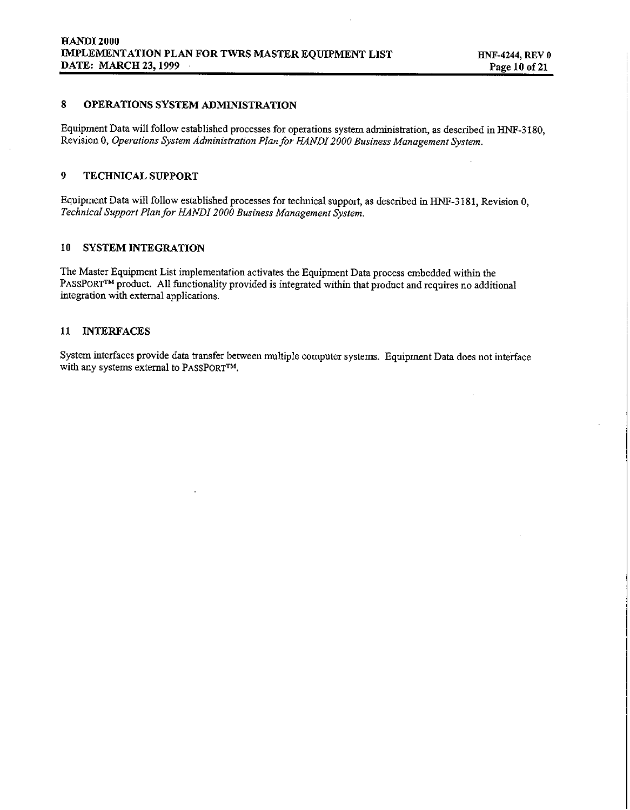## *8 OPERATIONS SYSTEM ADMINISTRATION*

*Equipment Data will follow established processes for operations system administration, as describedinHNF-3180, Revision 0, Operations System Adminis@ation Plan for HANDI 2000 Business Management System.*

#### *9 TECHNICAL SUPPORT*

*Equipment Data will follow established processes for technical support, as described in HINT-3181, Revision O, Technical Support Plan for HANDI 2000 Business Management System,*

#### *10 SYSTEM INTEGRATION*

*The Master Equipment List implementation activates the Equipment Data process embedded within the PASSPORNMproduct, All functionality provided is integrated within that product and requires no additional integration with external applications.*

#### *11 INTERFACES*

*System interfaces provide data transfer between multiple computer systems. Equipment Data does not interface with* any systems external to PASSPORT<sup>TM</sup>.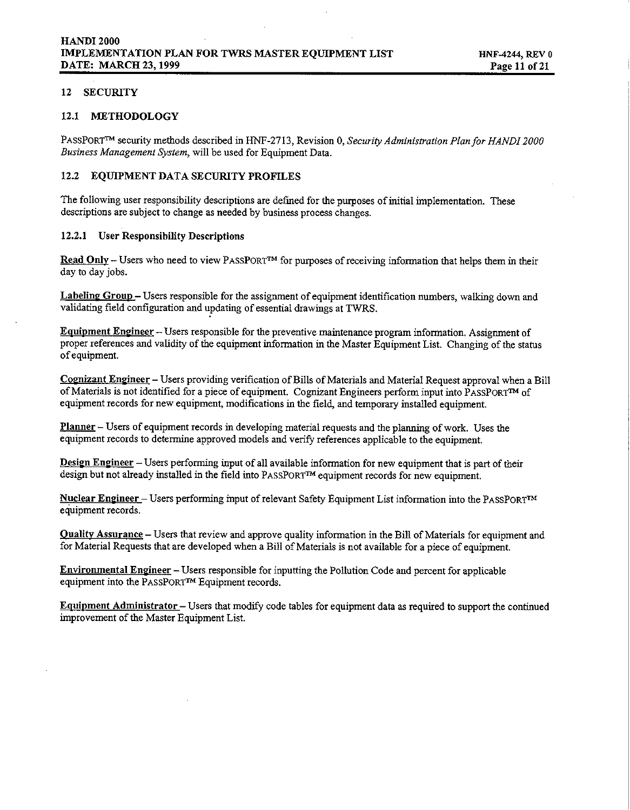### *12 SECURITY*

#### *12.1 METHODOLOGY*

PASSPORF'M *security methods describedinHNF-2713. Revision O.Secw-itu Administiafion Plan fir HANDI 2000 , Business Management System, will be used for Equipment Data.* 

## *12.2 EQUIPMENT DATA SECURITY PROFILES*

*The following user responsibility descriptions are defined for the purposes of initial implementation, These descriptions are subject to change as needed by business process changes.*

### *12.2.1 User Responsibility Descriptions*

Read Only - Users who need to view PASSPORT<sup>TM</sup> for purposes of receiving information that helps them in their *day to day jobs.*

*Labelinz GrouD – Users responsible for the assignment of equipment identification numbers, walking down and validating field configuration and updating of essential drawings at TWRS.*

*EauiDment Engineer - Users responsible for the preventive maintenance program information, Assignment of* proper references and validity of the equipment information in the Master Equipment List. Changing of the status *of equipment.*

Cognizant Engineer - Users providing verification of Bills of Materials and Material Request approval when a Bill of Materials is not identified for a piece of equipment. Cognizant Engineers perform input into PASSPORTM of *equipment records for new equipment, modifications in the field, and temporary installed equipment,*

*\_- Users of equipment records in developing material requests and the planning of work. Uses the equipment records to determine approved models and verify references applicable to the equipment.*

Design Engineer - Users performing input of all available information for new equipment that is part of their *design but not already installed in the field into* PASSPORTTM*equipment records for new equipment,*

*Nuclear Emzineer – Users performing input of relevant Safety Equipment List information into the* PASSPORTTM *equipment records,*

Quality Assurance - Users that review and approve quality information in the Bill of Materials for equipment and for Material Requests that are developed when a Bill of Materials is not available for a piece of equipment.

*Environmental Engineer - Users responsible for inputting the Pollution Code and percent for applicable equipment into the* PASSPORTm *Equipment records,*

Equipment Administrator - Users that modify code tables for equipment data as required to support the continued *improvement of the Master Equipment List,*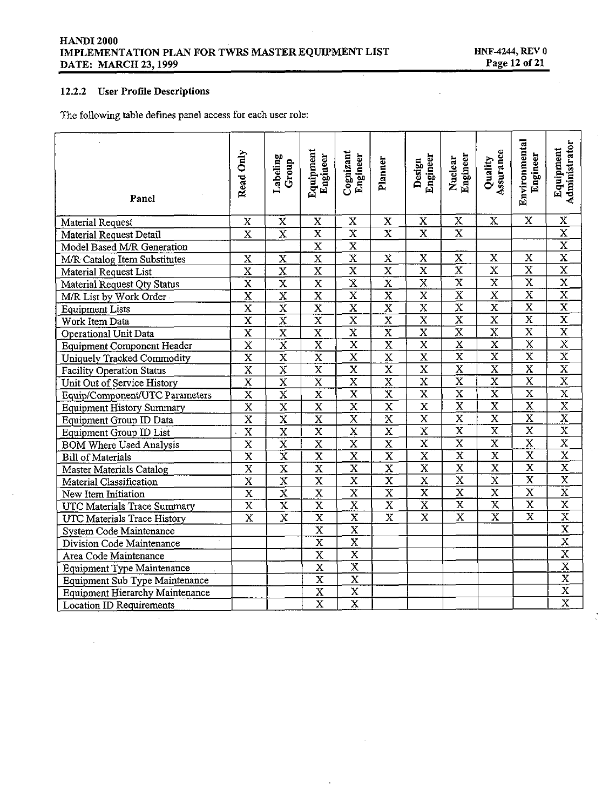## 12.2.2 User Profile Descriptions

The following table defines panel access for each user role:

| Panel                                  | Read Only               | Labeling<br>Group       | Equipment<br>Engineer   | Cognizant<br>Engineer   | Planner                 | Engineer<br>Design      | Nuclear<br>Engineer     | Assurance<br>Quality    | Environmental<br>Engineer | Administrator<br>Equipment          |
|----------------------------------------|-------------------------|-------------------------|-------------------------|-------------------------|-------------------------|-------------------------|-------------------------|-------------------------|---------------------------|-------------------------------------|
| Material Request                       | x                       | x                       | $\mathbf x$             | X                       | x                       | x                       | X                       | X                       | x                         | X                                   |
| Material Request Detail                | $\mathbf x$             | $\overline{\mathrm{x}}$ | $\overline{\mathrm{x}}$ | $\overline{\mathbf{x}}$ | $\overline{\mathbf{x}}$ | $\overline{\textbf{x}}$ | $\overline{\textbf{x}}$ |                         |                           | $\overline{\mathbf{x}}$             |
| Model Based M/R Generation             |                         |                         | $\overline{\textbf{x}}$ | X                       |                         |                         |                         |                         |                           | $\frac{\overline{x}}{\overline{x}}$ |
| M/R Catalog Item Substitutes           | X                       | X                       | $\overline{\mathbf{x}}$ | $\overline{\mathbf{x}}$ | X                       | $\overline{\mathbf{x}}$ | X                       | X                       | $\overline{\mathbf{x}}$   |                                     |
| Material Request List                  | $\overline{\mathbf{x}}$ | $\overline{\textbf{x}}$ | $\overline{\text{x}}$   | $\overline{\text{x}}$   | $\overline{\mathrm{x}}$ | $\overline{\mathrm{x}}$ | $\overline{\text{x}}$   | $\overline{\mathrm{x}}$ | $\overline{\text{x}}$     | $\overline{\overline{x}}$           |
| Material Request Oty Status            | $\overline{\text{x}}$   | $\overline{\mathbf{x}}$ | $\overline{\mathrm{x}}$ | $\overline{\text{x}}$   | $\overline{\text{x}}$   | $\overline{\text{x}}$   | $\overline{\text{x}}$   | $\overline{\text{x}}$   | $\overline{\mathbf{x}}$   | $\overline{\mathbf{x}}$             |
| M/R List by Work Order                 | $\overline{\text{x}}$   | $\overline{\mathrm{x}}$ | $\overline{\mathbf{x}}$ | $\overline{\mathbf{x}}$ | $\overline{\mathrm{x}}$ | $\overline{\mathbf{x}}$ | $\overline{\text{x}}$   | $\overline{\mathrm{x}}$ | $\overline{\mathbf{x}}$   | $\overline{\mathrm{x}}$             |
| <b>Equipment Lists</b>                 | $\overline{\text{x}}$   | $\overline{\text{x}}$   | $\overline{\mathbf{x}}$ | $\overline{\mathbf{x}}$ | $\overline{\mathrm{x}}$ | $\overline{\mathbf{x}}$ | $\overline{\text{x}}$   | $\overline{\mathbf{x}}$ | $\overline{\mathbf{x}}$   | $\overline{\text{x}}$               |
| Work Item Data                         | $\overline{\text{x}}$   | $\overline{\text{x}}$   | $\overline{\mathbf{x}}$ | $\overline{\mathbf{x}}$ | $\overline{\mathbf{x}}$ | $\overline{\mathbf{x}}$ | $\overline{\text{x}}$   | $\overline{\mathbf{x}}$ | $\overline{\mathbf{x}}$   | $\overline{\mathbf{x}}$             |
| Operational Unit Data                  | $\overline{\mathrm{x}}$ | $\overline{\text{x}}$   | $\overline{\mathbf{x}}$ | $\overline{\mathbf{x}}$ | $\overline{\textbf{x}}$ | $\overline{\mathbf{x}}$ | $\overline{\text{x}}$   | $\overline{\mathbf{x}}$ | $\mathbf x$               | $\overline{\mathrm{x}}$             |
| <b>Equipment Component Header</b>      | $\overline{\text{x}}$   | $\overline{\mathrm{x}}$ | $\overline{\textbf{x}}$ | $\overline{\mathbf{x}}$ | $\overline{\mathbf{x}}$ | $\overline{\mathbf{x}}$ | $\overline{\textbf{x}}$ | X                       | $\overline{\mathbf{x}}$   | $\overline{\mathbf{x}}$             |
| Uniquely Tracked Commodity             | $\overline{\text{x}}$   | $\overline{\mathbf{x}}$ | $\overline{\text{x}}$   | $\overline{\textbf{x}}$ | $\overline{\mathbf{x}}$ | X                       | $\overline{\mathbf{x}}$ | $\overline{\mathbf{x}}$ | $\overline{\mathbf{x}}$   | $\overline{\mathbf{x}}$             |
| <b>Facility Operation Status</b>       | $\overline{\mathbf{x}}$ | $\overline{\text{x}}$   | $\overline{\textbf{x}}$ | $\overline{\mathbf{x}}$ | X                       | $\overline{\mathbf{x}}$ | X                       | $\overline{\textbf{x}}$ | $\overline{\mathbf{x}}$   | $\overline{\text{x}}$               |
| Unit Out of Service History            | $\overline{\mathbf{x}}$ | $\overline{\text{x}}$   | $\overline{\textbf{x}}$ | $\overline{\mathbf{x}}$ | $\overline{\mathbf{x}}$ | $\overline{\textbf{x}}$ | $\overline{\mathbf{x}}$ | $\overline{\mathbf{x}}$ | $\overline{\textbf{x}}$   |                                     |
| Equip/Component/UTC Parameters         | $\overline{\mathrm{x}}$ | $\overline{\mathrm{x}}$ | $\overline{\mathbf{x}}$ | $\overline{\mathbf{x}}$ | $\overline{\mathbf{x}}$ | $\overline{\mathbf{x}}$ | $\overline{\text{x}}$   | $\overline{\mathrm{x}}$ | $\overline{\mathrm{x}}$   | $\frac{\text{X}}{\text{X}}$         |
| <b>Equipment History Summary</b>       | $\overline{\mathbf{x}}$ | $\overline{\textbf{x}}$ | $\overline{\mathbf{x}}$ | $\overline{\text{x}}$   | $\overline{\text{x}}$   | $\overline{\mathbf{x}}$ | $\overline{\text{x}}$   | $\overline{\mathbf{x}}$ | $\overline{\mathbf{x}}$   |                                     |
| Equipment Group ID Data                | $\overline{\mathrm{x}}$ | $\overline{\mathbf{x}}$ | $\overline{\mathrm{x}}$ | $\overline{\text{x}}$   | $\overline{\mathbf{x}}$ | $\overline{\mathbf{x}}$ | $\overline{\text{x}}$   | $\overline{\mathrm{x}}$ | $\overline{\mathbf{x}}$   | $\overline{\text{x}}$               |
| Equipment Group ID List                | $\overline{\mathbf{x}}$ | $\overline{\text{x}}$   | $\overline{\mathrm{x}}$ | $\overline{\mathrm{x}}$ | $\overline{\mathrm{x}}$ | $\overline{\text{x}}$   | $\overline{\text{x}}$   | $\overline{\text{X}}$   | $\overline{\mathbf{x}}$   | $\overline{\mathbf{x}}$             |
| <b>BOM Where Used Analysis</b>         | $\overline{\mathbf{x}}$ | $\overline{\mathrm{x}}$ | $\overline{\mathrm{x}}$ | $\overline{\text{x}}$   | $\overline{\text{x}}$   | $\overline{\mathrm{x}}$ | $\overline{\text{x}}$   | $\overline{\mathrm{x}}$ | $\overline{\text{x}}$     | $\overline{\mathbf{x}}$             |
| <b>Bill of Materials</b>               | $\overline{\text{x}}$   | $\overline{\mathrm{x}}$ | $\overline{\text{x}}$   | $\overline{\mathrm{x}}$ | $\overline{\text{x}}$   | $\overline{\text{x}}$   | $\overline{\text{x}}$   | $\overline{\text{x}}$   | $\overline{\text{x}}$     | $\overline{\text{x}}$               |
| Master Materials Catalog               | $\overline{\text{x}}$   | $\overline{\text{x}}$   | $\overline{\textbf{x}}$ | $\overline{\mathbf{x}}$ | $\overline{\mathbf{x}}$ | $\overline{\mathbf{x}}$ | x                       | $\overline{\mathbf{x}}$ | $\overline{\text{x}}$     | $\overline{\mathbf{x}}$             |
| Material Classification                | $\overline{\textbf{x}}$ | $\overline{\mathbf{x}}$ | X                       | $\overline{\text{x}}$   | $\overline{\mathbf{x}}$ | $\overline{\mathbf{x}}$ | $\overline{\text{x}}$   | $\overline{\text{x}}$   | $\overline{\mathbf{x}}$   | $\overline{\mathrm{x}}$             |
| New Item Initiation                    | $\overline{\mathbf{x}}$ | $\overline{\mathrm{x}}$ | $\overline{\mathbf{x}}$ | $\overline{\mathbf{x}}$ | $\overline{\text{x}}$   | $\overline{\mathbf{x}}$ | $\mathbf x$             | X                       | $\overline{\mathbf{x}}$   | $\overline{\mathrm{x}}$             |
| UTC Materials Trace Summary            | $\overline{\mathbf{x}}$ | $\overline{\mathbf{x}}$ | $\overline{\mathbf{x}}$ | $\overline{\mathbf{x}}$ | X                       | $\overline{\textbf{x}}$ | $\overline{\textbf{x}}$ | $\overline{\text{x}}$   | $\overline{\textbf{x}}$   | $\overline{\text{x}}$               |
| UTC Materials Trace History            | $\overline{\mathbf{x}}$ | $\bar{\mathbf{x}}$      | $\overline{\mathbf{x}}$ | $\overline{\textbf{x}}$ | $\overline{\mathbf{x}}$ | $\overline{\text{x}}$   | $\overline{\textbf{x}}$ | $\overline{\mathbf{x}}$ | X                         | $\overline{\mathbf{x}}$             |
| System Code Maintenance                |                         |                         | $\overline{\text{x}}$   | $\overline{\text{x}}$   |                         |                         |                         |                         |                           | $\frac{\overline{x}}{\overline{x}}$ |
| Division Code Maintenance              |                         |                         | $\overline{\text{x}}$   | $\overline{\textbf{x}}$ |                         |                         |                         |                         |                           |                                     |
| Area Code Maintenance                  |                         |                         | $\overline{\mathbf{x}}$ | $\overline{\mathbf{x}}$ |                         |                         |                         |                         |                           | $\overline{\mathrm{x}}$             |
| <b>Equipment Type Maintenance</b>      |                         |                         | $\overline{\mathbf{x}}$ | $\overline{\mathbf{x}}$ |                         |                         |                         |                         |                           | $\overline{\mathbf{x}}$             |
| Equipment Sub Type Maintenance         |                         |                         | $\overline{\mathbf{x}}$ | $\overline{\mathrm{x}}$ |                         |                         |                         |                         |                           | $\overline{\mathrm{x}}$             |
| <b>Equipment Hierarchy Maintenance</b> |                         |                         | $\overline{\text{x}}$   | $\overline{\mathbf{x}}$ |                         |                         |                         |                         |                           | $\overline{\mathbf{x}}$             |
| <b>Location ID Requirements</b>        |                         |                         | $\overline{\mathbf{x}}$ | $\overline{\textbf{x}}$ |                         |                         |                         |                         |                           | $\overline{\mathrm{x}}$             |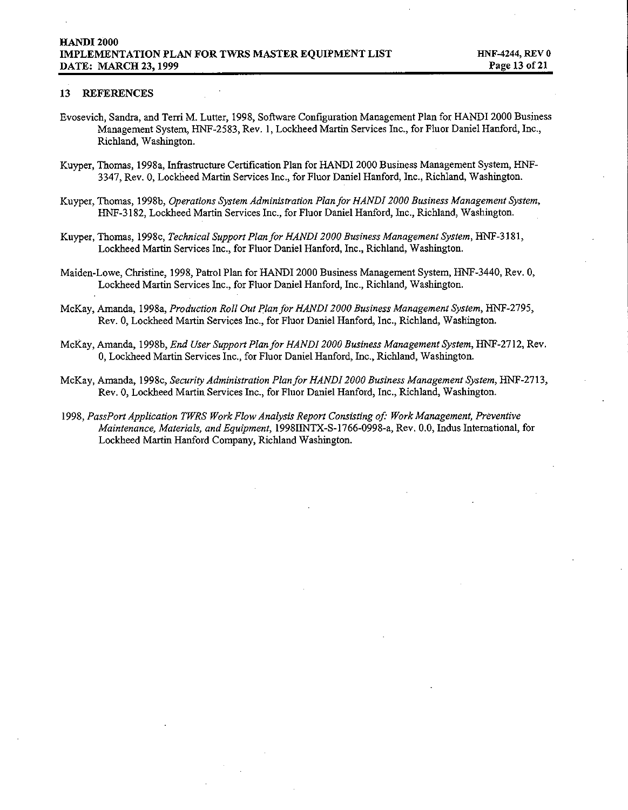#### *13 REFERENCES*

- *Evosevich, Sandra, and Tern M. Lutter, 1998, Software Configuration Management Plan for HANDI 2000 Business Management System, HNF-2583, Rev. 1, Lockheed Martin Services Inc., for Fluor Daniel Hanford, Inc., Richland, Washington.*
- *Kuyper, Thomas, 1998a, Infrastructure Certification Plan for HANDI 2000 Business Management System, HI@ 3347, Rev. O,Lockheed Martin Services Inc., for Fluor Daniel Hanford, Inc., Richland, Washington.*
- *Kuyper, Thomas, 1998b, Operations System Administration Plan for HANDI 2000 Business Management System, HNF-3 182, Lockheed Martin Sewices Inc., for Fluor Daniel Hanford, Inc., Richland, Washington.*
- *Kuyper, Thomas, 1998c, Technical Support Plan for HANDI 2000 Business Management System, HN1-3 181,* Lockheed Martin Services Inc., for Fluor Daniel Hanford, Inc., Richland, Washington.
- *Maiden-Lowe, Christine, 1998, Pa!rol Plan for HANDI 2000 Business Management System, HNF-3440, Rev. O, Lockheed Mardn Services Inc., for Fluor Daniel Hanford, Inc., Richland, Washington.*
- *McKay, Amanda, 1998a, Production Roll Out Plan for HANDI 2000 Business Management System, HNF-2795, Rev. O,Lockheed Martin Services Inc., for Fluor Daniel Hanford, Inc., Richland, Washington.*
- *McKay, Amanda, 1998b, End User Support Plan for HANDI 2000 Business Management System, HNF-27 12, Rev. O,Lockheed Martin Services Inc., for Fluor Daniel Hanford, fnc., Richland, Washington.*
- $Mckay$ , *Amanda, 1998c, Security Administration Plan for HANDI 2000 Business Management System, HNF-2713, Rev. O,Lockheed Martin Semites Inc., for Fluor Daniel Hanford, Inc., Rlchland, Washington.*
- *1998, PassPort Application TWRS Work Flow Analysis Report Consisting of Work Management, Preventive Maintenance, Materials, and Equipment, 19981fNTX-S-1766-0998-a, Rev. 0.0, Indus International, for Lockheed Martin Hanford Company, Ricbland Washington.*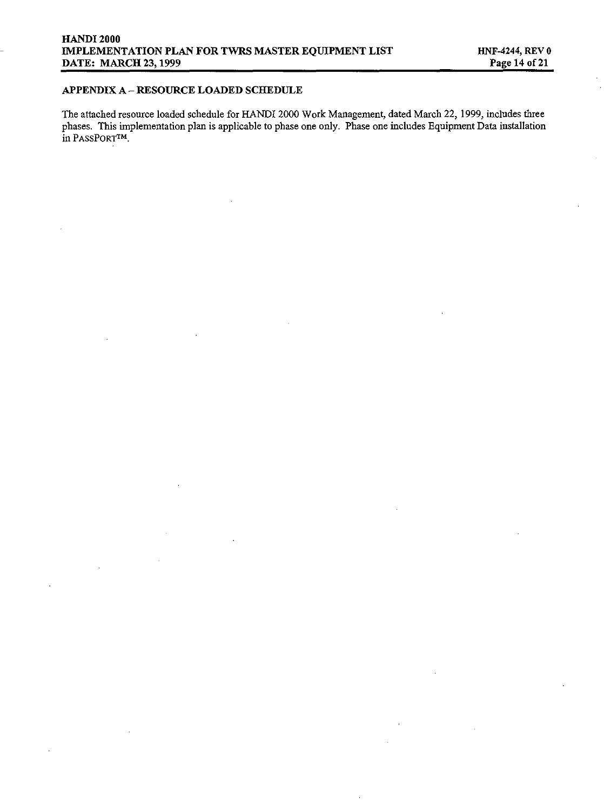## *APPENDIX A – RESOURCE LOADED SCHEDULE*

*The attached resource loaded schedule for HANDI 2000 Work Management, dated March 22, 1999, includes three phases, Ilk implementation plan is applicable to phase one only. Phase one includes Equipment Data installation*  $in$  **PASSPORTM**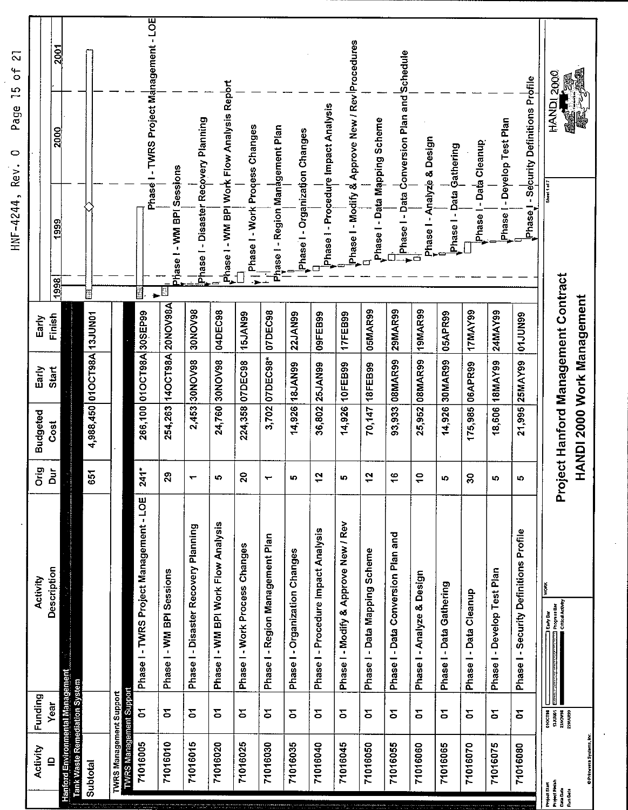| ಸ<br>$\sigma^2$<br>$\frac{5}{2}$<br>Page<br>$\circ$ | 2001<br>2000 |                                                                                |                             |                         | Phase I - TWRS Project Management - LOE |                           |                                      | Phase I - WM BPI Work Flow Analysis Report |                                  |                                  |                                | Phase I - Procedure Impact Analysis | Phase I - Modify & Approve New / Rev Procedures |                               | Phase I - Data Conversion Plan and Schedule |                            |                          |                        | Phase I - Deyelop Test Plan | Phase I - Security Definitions Profile | HANDI 2000                                                                    |
|-----------------------------------------------------|--------------|--------------------------------------------------------------------------------|-----------------------------|-------------------------|-----------------------------------------|---------------------------|--------------------------------------|--------------------------------------------|----------------------------------|----------------------------------|--------------------------------|-------------------------------------|-------------------------------------------------|-------------------------------|---------------------------------------------|----------------------------|--------------------------|------------------------|-----------------------------|----------------------------------------|-------------------------------------------------------------------------------|
| HNF-4244, Rev.                                      | 1999<br>1998 |                                                                                | H                           |                         | N.                                      | hase I - WM BPI Sessions  | Phase I - Disaster Recovery Planning |                                            | . Phase I - Work Process Changes | Phase I - Region Management Plan | Phase I - Organization Changes |                                     |                                                 | Phase I - Data Mapping Scheme |                                             | Phase I - Analyze & Design | Phase I - Data Gathering | Phase   - Data Cleanup |                             |                                        |                                                                               |
| Early                                               | Finish       |                                                                                |                             |                         |                                         |                           | <b>SONOV98</b>                       | 04DEC98                                    |                                  |                                  | 22JAN99                        | 09FEB99                             | 17FEB99                                         | 05MAR99                       | 29MAR99                                     |                            | 05APR99                  | 17MAY99                |                             |                                        |                                                                               |
| Early                                               | Start        |                                                                                | 4,988,450 01 OCT98A 13JUN01 |                         | 266,100 01OCT98A 30SEP99                | 254,263 140CT98A 20NOV98A | 2,453 30NOV98                        | 24,760 30NOV98                             | 224,358 07DEC98 15JAN99          | 3,702 07DEC98* 07DEC98           | 14,926 18JAN99                 | 36,802 25JAN99                      | 14,926 10FEB99                                  | 70,147 18FEB99                | 93,933 08MAR99                              | 25,952 08MAR99 19MAR99     | 14,926 30MAR99           | 175,985 06APR99        | 18,606 18MAY99 24MAY99      | 21,995 25MAY99 01JUN99                 |                                                                               |
| <b>Budgeted</b>                                     | Cost         |                                                                                |                             |                         |                                         |                           |                                      |                                            |                                  |                                  |                                |                                     |                                                 |                               |                                             |                            |                          |                        |                             |                                        | Project Hanford Management Contract<br>HANDI 2000 Work Management             |
|                                                     | 품            |                                                                                | 55                          |                         | $241*$                                  | 3                         | $\ddot{}$                            | ю                                          | ន                                | $\leftarrow$                     | ın,                            | ä,                                  | lo,                                             | ä                             | \$                                          | ş                          | LD.                      | g                      | ıņ,                         | ю                                      |                                                                               |
| Activity                                            | Description  |                                                                                |                             |                         | Phase I - TWRS Project Management - LOE | Phase I - WM BPI Sessions | Phase I - Disaster Recovery Planning | Phase I - WM BPI Work Flow Analysis        | Phase I - Work Process Changes   | Phase I - Region Management Plan | Phase I - Organization Changes | Phase I - Procedure Impact Analysis | Phase I - Modify & Approve New / Rev            | Phase I - Data Mapping Scheme | Phase I - Data Conversion Plan and          | Phase I - Analyze & Design | Phase I - Data Gathering | Phase I - Data Cleanup | Phase I - Develop Test Plan | Phase I - Security Definitions Profile |                                                                               |
|                                                     |              |                                                                                |                             |                         |                                         |                           |                                      |                                            |                                  |                                  |                                |                                     |                                                 |                               |                                             |                            |                          |                        |                             |                                        |                                                                               |
| Funding                                             | Year         |                                                                                |                             |                         | 5                                       | 2                         | 5                                    | 2                                          | 2                                | 5                                | Σ                              | 5                                   | 5                                               | 2                             | Σ                                           | Σ                          | 2                        | 5                      | 2                           | 2                                      | $\begin{array}{c} 000718 \\ 110101 \\ 230098 \\ 270099 \\ 218099 \end{array}$ |
| Activity                                            | $\mathbf{r}$ | lanford Environmental Manageme<br>Tank Waste Remediation System<br>onwiE proud | Subtotal                    | TWRS Management Support | TWRS Management Suppor<br>71016005      | 71016010                  | 71016015                             | 71016020                                   | 71016025                         | 71016030                         | 71016035                       | 71016040                            | 71016045                                        | 71016050                      | 71016055                                    | 71016060                   | 71016065                 | 71016070               | 71016075                    | 71016080                               | Project Start<br>Project Fields<br>Data Data<br>Run Data                      |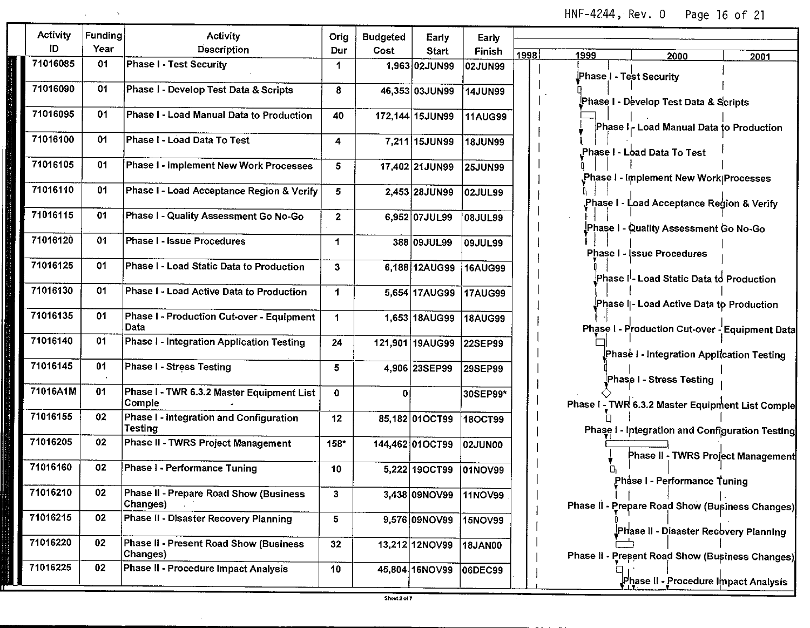*HNF-4244, Rev. O Page 16 of 21*

| Activity | Funding | Activity                                                  | Orig                 | <b>Budgeted</b> | Early           | Early          |              |                                                                                            |      |
|----------|---------|-----------------------------------------------------------|----------------------|-----------------|-----------------|----------------|--------------|--------------------------------------------------------------------------------------------|------|
| ID       | Year    | Description                                               | Dur                  | Cost            | Start           | Finish         | 1998<br>1999 | 2000                                                                                       | 2001 |
| 71016085 | 01      | <b>Phase I - Test Security</b>                            | 1                    |                 | 1.963 02JUN99   | 02JUN99        |              |                                                                                            |      |
| 71016090 | 01      | Phase I - Develop Test Data & Scripts                     | 8                    |                 | 46,353 03JUN99  | <b>14JUN99</b> |              | Phase I - Test Security                                                                    |      |
|          |         |                                                           |                      |                 |                 |                |              | Phase I - Develop Test Data & Scripts                                                      |      |
| 71016095 | 01      | Phase I - Load Manual Data to Production                  | 40                   |                 | 172,144 15JUN99 | <b>11AUG99</b> |              | Phase I- Load Manual Data to Production                                                    |      |
| 71016100 | 01      | Phase I - Load Data To Test                               | 4                    |                 | 7,211 15JUN99   | <b>18JUN99</b> |              | Phase I - Load Data To Test.                                                               |      |
| 71016105 | 01      | Phase I - Implement New Work Processes                    | 5                    |                 | 17,402 21JUN99  | <b>25JUN99</b> |              | Phase I - Implement New Work Processes                                                     |      |
| 71016110 | 01      | Phase I - Load Acceptance Region & Verify                 | 5                    |                 | 2,453 28JUN99   | 02JUL99        |              | Phase I - Load Acceptance Region & Verity                                                  |      |
| 71016115 | 01      | Phase I - Quality Assessment Go No-Go                     | $\mathbf{z}$         |                 | 6,952 07JUL99   | 08JUL99        |              | Phase I - Quality Assessment Go No-Go                                                      |      |
| 71016120 | 01      | Phase I - Issue Procedures                                | 1                    |                 | 388 09JUL99     | <b>09JUL99</b> |              | Phase I - (ssue Procedures                                                                 |      |
| 71016125 | 01      | Phase I - Load Static Data to Production                  | 3                    |                 | 6,188 12AUG99   | 16AUG99        |              | Phase I <sup>I</sup> - Load Static Data to Production                                      |      |
| 71016130 | 01      | Phase I - Load Active Data to Production                  | 1                    |                 | 5,654 17AUG99   | 17AUG99        |              |                                                                                            |      |
| 71016135 | 01      | Phase I - Production Cut-over - Equipment<br>Data         | $\blacktriangleleft$ |                 | 1,653 18AUG99   | 18AUG99        |              | Phase I - Load Active Data to Production<br>Phase I - Production Cut-over - Equipment Data |      |
| 71016140 | 01      | Phase I - Integration Application Testing                 | 24                   |                 | 121,901 19AUG99 | 22SEP99        |              | Phase I - Integration Application Testing                                                  |      |
| 71016145 | 01      | Phase I - Stress Testing                                  | 5                    |                 | 4,906 23SEP99   | 29SEP99        |              | Phase I - Stress Testing                                                                   |      |
| 71016A1M | 01      | Phase I - TWR 6.3.2 Master Equipment List<br>Comple       | $\mathbf 0$          | 0               |                 | 30SEP99*       |              | Phase I - TWR 6.3.2 Master Equipment List Comple                                           |      |
| 71016155 | 02      | Phase I - Integration and Configuration<br>Testing        | 12                   |                 | 85,182 01OCT99  | <b>18OCT99</b> |              | Phase I - Integration and Configuration Testing                                            |      |
| 71016205 | 02      | Phase II - TWRS Project Management                        | 158*                 |                 | 144,462 01OCT99 | 02JUN00        |              | Phase II - TWRS Project Management                                                         |      |
| 71016160 | 02      | Phase I - Performance Tuning                              | 10                   |                 | 5,222 19 OCT99  | 01NOV99        |              | Phase I - Performance Tuning                                                               |      |
| 71016210 | 02      | Phase II - Prepare Road Show (Business<br><b>Changes)</b> | 3                    |                 | 3,438 09NOV99   | <b>11NOV99</b> |              | Phase II - Prepare Road Show (Business Changes)                                            |      |
| 71016215 | 02      | Phase II - Disaster Recovery Planning                     | 5                    |                 | 9,576 09NOV99   | <b>15NOV99</b> |              | Phase II - Disaster Recovery Planning                                                      |      |
| 71016220 | 02      | Phase II - Present Road Show (Business<br>Changes)        | 32                   |                 | 13,212 12NOV99  | <b>18JAN00</b> |              | Phase II - Present Road Show (Business Changes)                                            |      |
| 71016225 | 02      | Phase II - Procedure Impact Analysis                      | 10                   |                 | 45,804 16NOV99  | 06DEC99        |              | Phase II - Procedure Impact Analysis                                                       |      |

 $\sim$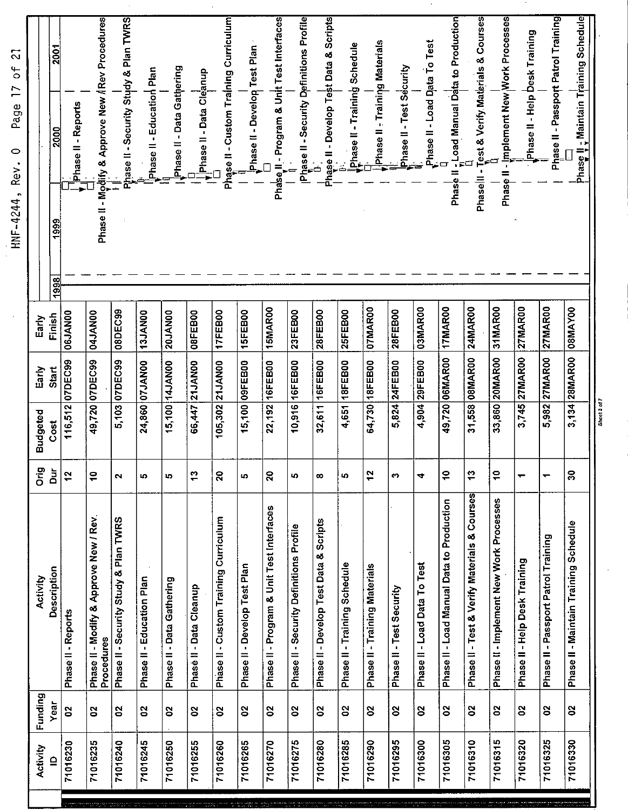| Phase II - Maintain Training Schedule            |                | 3,134 28MAR00 08MAY00  |                 | g                    | Phase II - Maintain Training Schedule                | S       | 71016330 |
|--------------------------------------------------|----------------|------------------------|-----------------|----------------------|------------------------------------------------------|---------|----------|
| Phase II - Passport Patrol Training              |                | 5,982 27MAR00 27MAR00  |                 |                      | Phase II - Passport Patrol Training                  | ឌ       | 71016325 |
| Phase II - Help Desk Training                    |                | 3,745 27MAR00 27MAR00  |                 |                      | Phase II - Help Desk Training                        | ន       | 71016320 |
| Phase II - Implement New Work Processes          |                | 33,860 20MAR00 31MAR00 |                 | å                    | Phase II - Implement New Work Processes              | 8       | 71016315 |
| Phase II - Test & Verify Materials & Courses     |                | 31,558 08MAR00 24MAR00 |                 | 9                    | Phase II - Test & Verify Materials & Courses         | ឌ       | 71016310 |
| Phase II - Load Manual Data to Production        |                | 49,720 06MAR00 17MAR00 |                 | ₽                    | Phase II - Load Manual Data to Production            | S       | 71016305 |
| Phase II - Load Data To Test                     | 03MAR00        | 4,904 29FEB00          |                 | 4                    | Phase II - Load Data To Test                         | S       | 71016300 |
| Phase II - Test Security                         | 28FEB00        | 5,824 24FEB00          |                 | m                    | Phase II - Test Security                             | 8       | 71016295 |
| Phase II - Training Materials                    | 07MAR00        | 64,730 18FEB00         |                 | $\frac{2}{3}$        | Phase II - Training Materials                        | 8       | 71016290 |
| Phase II - Training Schedule                     | 25FEB00        | 4,651 18FEB00          |                 | LO.                  | Phase II - Training Schedule                         | 3       | 71016285 |
| hase II - Develop Test Data & Scripts            | 28FEB00        | 32,611 16FEB00         |                 | œ                    | Phase II - Develop Test Data & Scripts               | S       | 71016280 |
| Phase II - Security Definitions Profile<br>- D   | 23FEB00        | 10,916 16FEB00         |                 | lQ,                  | Phase II - Security Definitions Profile              | 8       | 71016275 |
| Phase II - Program & Unit Test Interfaces        | 15MAR00        | 22,192 16FEB00         |                 | 20                   | Phase II - Program & Unit Test Interfaces            | S       | 71016270 |
| Phase II - Develop Test Plan                     | 15FEB00        | 15,100 09FEB00         |                 | ю                    | Phase II - Develop Test Plan                         | S       | 71016265 |
| Phase II - Custom Training Curriculum            | 17FEB00        | 105,302 21JAN00        |                 | 20                   | Phase II - Custom Training Curriculum                | ຮ       | 71016260 |
| Phase II - Data Cleanup                          | 08FEB00        | 66,447 21 JAN00        |                 | ¢,                   | Phase II - Data Cleanup                              | S       | 71016255 |
| Phase II - Data Gathering                        | 20JAN00        | 15,100 14JAN00         |                 | ıŋ,                  | Phase II - Data Gathering                            | 8       | 71016250 |
| Phase II - Education Plan                        |                | 24,860 07JAN00 13JAN00 |                 | LO,                  | Phase II - Education Plan                            | 3       | 71016245 |
| Phase II - Security Study & Plan TWRS            |                | 5,103 07DEC99 08DEC99  |                 | $\mathbf{\tilde{c}}$ | Phase II - Security Study & Plan TWRS                | ន       | 71016240 |
| Phase II - Modify & Approve New / Rev Procedures | 04JAN00        | 49,720 07DEC99         |                 | å                    | Phase II - Modify & Approve New / Rev.<br>Procedures | ន       | 71016235 |
| Phase II - Reports                               | <b>06JAN00</b> | 116,512 07DEC99        |                 | ä                    | Phase II - Reports                                   | g       | 71016230 |
| 2001<br>2000<br>1999<br>1998                     | Finish         | Start                  | Cost            | ă                    | Description                                          | Year    |          |
|                                                  | Early          | Ěarly                  | <b>Budgeted</b> | δã                   | Activity                                             | Funding | Activity |
|                                                  |                |                        |                 |                      |                                                      |         |          |

 $\cdot$ 

HNF-4244, Rev. 0 Page 17 of 21

Sheet 3 of 7

Ŷ,

 $\gamma$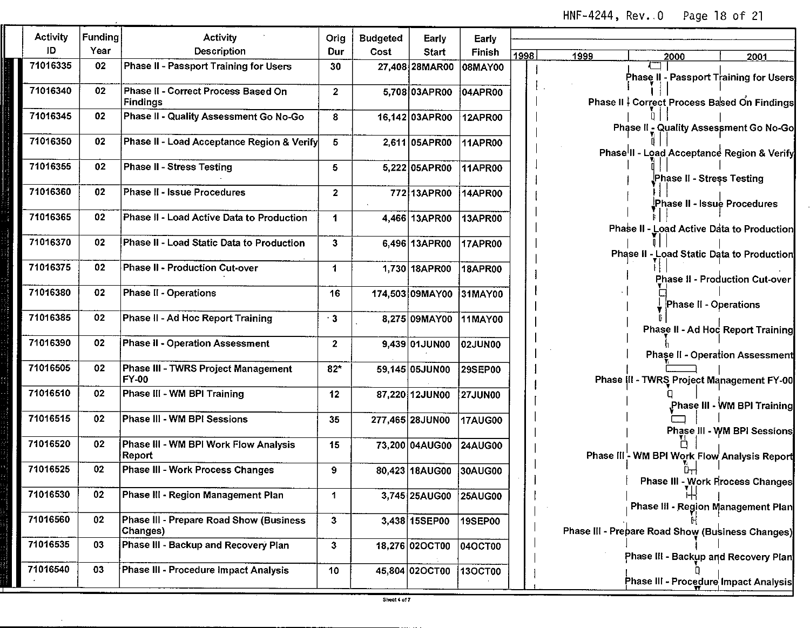*HNF-4244, Rev. O Page 18 of 21*

| Activity | Funding | Activity                                            | Orig                    | <b>Budgeted</b> | Early           | Early          |                                                  |      |
|----------|---------|-----------------------------------------------------|-------------------------|-----------------|-----------------|----------------|--------------------------------------------------|------|
| ID       | Year    | <b>Description</b>                                  | Dur                     | Cost            | Start           | Finish         | 1998<br>1999<br>2000                             | 2001 |
| 71016335 | 02      | Phase II - Passport Training for Users              | 30                      |                 | 27,408 28MAR00  | 08MAY00        | Phase II - Passport Training for Users           |      |
| 71016340 | 02      | Phase II - Correct Process Based On<br>Findings     | $\overline{2}$          |                 | 5,708 03APR00   | 04APR00        | Phase II   Correct Process Based On Findings     |      |
| 71016345 | 02      | Phase II - Quality Assessment Go No-Go              | 8                       |                 | 16,142 03APR00  | 12APR00        | Phase II - Quality Assessment Go No-Go           |      |
| 71016350 | 02      | Phase II - Load Acceptance Region & Verify          | 5                       |                 | 2,611 05APR00   | 11APR00        | Phase II - Load Acceptance Region & Verify       |      |
| 71016355 | 02      | Phase II - Stress Testing                           | 5                       |                 | 5,222 05APR00   | 11APR00        | Phase II - Stress Testing                        |      |
| 71016360 | 02      | Phase II - Issue Procedures                         | $\overline{\mathbf{2}}$ |                 | 77213APR00      | 14APR00        | Phase II - Issue Procedures                      |      |
| 71016365 | 02      | Phase II - Load Active Data to Production           | 1                       |                 | 4,466 13APR00   | <b>13APR00</b> | Phase II - Load Active Data to Production        |      |
| 71016370 | 02      | Phase II - Load Static Data to Production           | $\mathbf{3}$            |                 | 6,496 13APR00   | 17APR00        | Phase II - Load Static Data to Production        |      |
| 71016375 | 02      | Phase II - Production Cut-over                      | 1                       |                 | 1.730 18APR00   | <b>18APR00</b> | Phase II - Production Cut-over                   |      |
| 71016380 | 02      | <b>Phase II - Operations</b>                        | 16                      |                 | 174,503 09MAY00 | 31MAY00        | Phase II - Operations                            |      |
| 71016385 | 02      | Phase II - Ad Hoc Report Training                   | $\cdot$ 3               |                 | 8,275 09MAY00   | 11MAY00        | Phase II - Ad Hoc Report Training                |      |
| 71016390 | 02      | <b>Phase II - Operation Assessment</b>              | $\mathbf 2$             |                 | 9,439 01JUN00   | 02JUN00        | <b>Phase II - Operation Assessment</b>           |      |
| 71016505 | 02      | Phase III - TWRS Project Management<br>FY-00        | $82*$                   |                 | 59.145 05JUN00  | 29SEP00        | Phase III - TWRS Project Management FY-00        |      |
| 71016510 | 02      | Phase III - WM BPI Training                         | 12                      |                 | 87,220 12JUN00  | 27JUN00        | Phase III - WM BPI Training                      |      |
| 71016515 | 02      | Phase III - WM BPI Sessions                         | 35                      |                 | 277,465 28JUN00 | <b>17AUG00</b> | Phase III - WM BPI Sessions                      |      |
| 71016520 | 02      | Phase III - WM BPI Work Flow Analysis<br>Report     | 15                      |                 | 73,200 04AUG00  | <b>24AUG00</b> | Phase III - WM BPI Work Flow Analysis Report     |      |
| 71016525 | 02      | Phase III - Work Process Changes                    | 9                       |                 | 80,423 18AUG00  | 30AUG00        | <b>Phase III - Work Process Changes</b>          |      |
| 71016530 | 02      | Phase III - Region Management Plan                  | $\mathbf{1}$            |                 | 3,745 25AUG00   | 25AUG00        | Phase III - Region Management Plan               |      |
| 71016560 | 02      | Phase III - Prepare Road Show (Business<br>Changes) | 3                       |                 | 3,438 15SEP00   | 19SEP00        | Phase III - Prepare Road Show (Business Changes) |      |
| 71016535 | 03      | Phase III - Backup and Recovery Plan                | 3                       |                 | 18,276 02OCT00  | 04OCT00        | Phase III - Backup and Recovery Plan             |      |
| 71016540 | 03      | Phase III - Procedure Impact Analysis               | 10                      |                 | 45,804 02OCT00  | 130CT00        | Phase III - Procedure Impact Analysis            |      |

Ŧ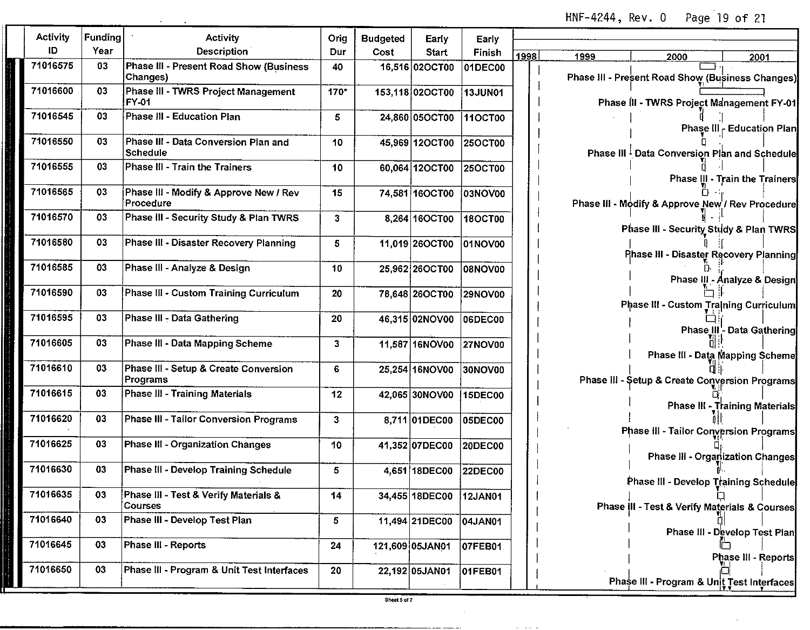**HNF-4244, Rev. O Page 19 of 21**

| Activity | Funding | Activity                                            | Orig | <b>Budgeted</b> | Early           | Early          |      |                                                  |
|----------|---------|-----------------------------------------------------|------|-----------------|-----------------|----------------|------|--------------------------------------------------|
| ID       | Year    | Description                                         | Dur  | Cost            | <b>Start</b>    | Finish         | 1998 | 1999<br>2000<br>2001                             |
| 71016575 | 03      | Phase III - Present Road Show (Business<br>Changes) | 40   |                 | 16,516 02OCT00  | 01DEC00        |      | Phase III - Present Road Show (Business Changes) |
| 71016600 | 03      | Phase III - TWRS Project Management<br>FY-01        | 170* |                 | 153,118 02OCT00 | 13JUN01        |      | Phase III - TWRS Project Management FY-01        |
| 71016545 | 03      | Phase III - Education Plan                          | 5    |                 | 24.860 05OCT00  | 110CT00        |      | Phase III - Education Plan                       |
| 71016550 | 03      | Phase III - Data Conversion Plan and<br>Schedule    | 10   |                 | 45,969 12OCT00  | 250CT00        |      | Phase III Data Conversion Plan and Schedule      |
| 71016555 | 03      | Phase III - Train the Trainers                      | 10   |                 | 60,064 12OCT00  | 25OCT00        |      | Phase III - Train the Trainers                   |
| 71016565 | 03      | Phase III - Modify & Approve New / Rev<br>Procedure | 15   |                 | 74,581 16OCT00  | 03NOV00        |      | Phase III - Modify & Approve New / Rev Procedure |
| 71016570 | 03      | Phase III - Security Study & Plan TWRS              | 3    |                 | 8,264 16OCT00   | 18OCT00        |      | Phase III - Security Study & Plan TWRS           |
| 71016580 | 03      | Phase III - Disaster Recovery Planning              | 5    |                 | 11,019 26OCT00  | 01NOV00        |      | Phase III - Disaster Recovery Planning           |
| 71016585 | 03      | Phase III - Analyze & Design                        | 10   |                 | 25,962 26OCT00  | <b>08NOV00</b> |      | Phase III - Analyze & Design                     |
| 71016590 | 03      | Phase III - Custom Training Curriculum              | 20   |                 | 78,648 26OCT00  | 29NOV00        |      | Phase III - Custom Training Curriculum           |
| 71016595 | 03      | Phase III - Data Gathering                          | 20   |                 | 46,315 02NOV00  | 06DEC00        |      | Phase III - Data Gathering                       |
| 71016605 | 03      | Phase III - Data Mapping Scheme                     | 3    |                 | 11,587 16NOV00  | 27NOV00        |      | Phase III - Data Mapping Scheme                  |
| 71016610 | 03      | Phase III - Setup & Create Conversion<br>Programs   | 6    |                 | 25,254 16NOV00  | 30NOV00        |      | Phase III - Setup & Create Conversion Programs   |
| 71016615 | 03      | Phase III - Training Materials                      | 12   |                 | 42,065 30NOV00  | 15DEC00        |      | Phase III - Training Materials                   |
| 71016620 | 03      | <b>Phase III - Tailor Conversion Programs</b>       | 3    |                 | 8,711 01DEC00   | 05DEC00        |      | Phase III - Tailor Conversion Programs           |
| 71016625 | 03      | <b>Phase III - Organization Changes</b>             | 10   |                 | 41,352 07DEC00  | 20DEC00        |      | Phase III - Organization Changes                 |
| 71016630 | 03      | Phase III - Develop Training Schedule               | 5    |                 | 4.651 18DEC00   | <b>22DEC00</b> |      | Phase III - Develop Training Schedule            |
| 71016635 | 03      | Phase III - Test & Verify Materials &<br>Courses    | 14   |                 | 34,455 18DEC00  | 12JAN01        |      | Phase III - Test & Verify Materials & Courses    |
| 71016640 | 03      | Phase III - Develop Test Plan                       | 5    |                 | 11,494 21DEC00  | 04JAN01        |      | Phase III - Develop Test Plan                    |
| 71016645 | 03      | Phase III - Reports                                 | 24   |                 | 121,609 05JAN01 | 07FEB01        |      | Phase III - Reports                              |
| 71016650 | 03      | Phase III - Program & Unit Test Interfaces          | 20   |                 | 22,192 05JAN01  | 01FEB01        |      | Phase III - Program & Unit Test Interfaces       |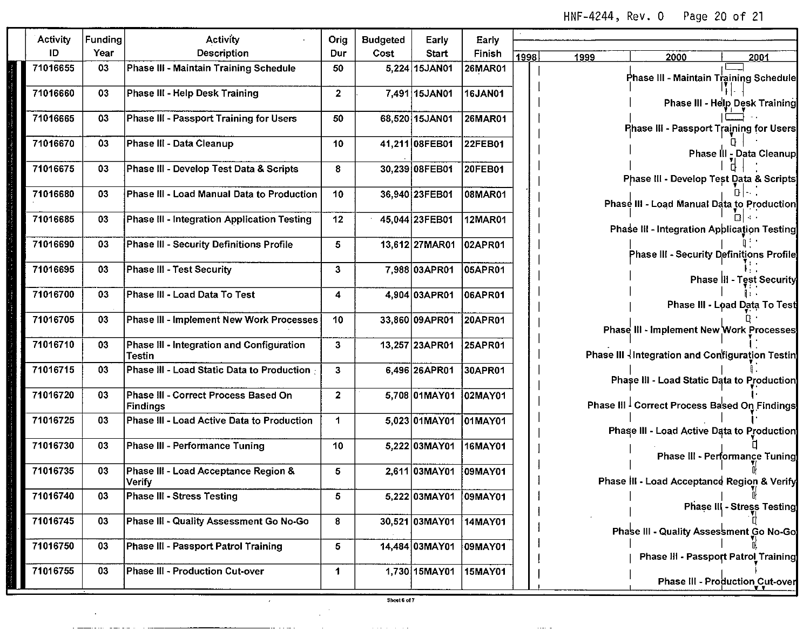**HNF-4244, Rev. O Page 20 of 21**

| Activity | Funding | Activity                                                | Orig           | <b>Budgeted</b> | Early                  | Early          |      |      |                                                          |                                 |
|----------|---------|---------------------------------------------------------|----------------|-----------------|------------------------|----------------|------|------|----------------------------------------------------------|---------------------------------|
| ID       | Year    | Description                                             | Dur            | Cost            | Start                  | Finish         | 1998 | 1999 | 2000                                                     | 2001                            |
| 71016655 | 03      | Phase III - Maintain Training Schedule                  | 50             |                 | 5.224 15JAN01          | 26MAR01        |      |      | Phase III - Maintain Training Schedule                   |                                 |
| 71016660 | 03      | Phase III - Help Desk Training                          | $\mathbf{2}$   |                 | 7.491 15JAN01          | 16JAN01        |      |      |                                                          | Phase III - Help Desk Training  |
| 71016665 | 03      | <b>Phase III - Passport Training for Users</b>          | 50             |                 | 68,520 15JAN01         | 26MAR01        |      |      | Phase III - Passport Training for Users                  |                                 |
| 71016670 | 03      | Phase III - Data Cleanup                                | 10             |                 | 41,211 08FEB01         | 22FEB01        |      |      |                                                          | Phase III - Data Cleanup        |
| 71016675 | 03      | Phase III - Develop Test Data & Scripts                 | 8              |                 | 30,239 08FEB01         | 20FEB01        |      |      | Phase III - Develop Test Data & Scripts                  |                                 |
| 71016680 | 03      | Phase III - Load Manual Data to Production              | 10             |                 | 36,940 23FEB01         | 08MAR01        |      |      | Phase III - Load Manual Data to Production               |                                 |
| 71016685 | 03      | Phase III - Integration Application Testing             | 12             |                 | 45.044 23FEB01         | 12MAR01        |      |      | Phase III - Integration Application Testing              |                                 |
| 71016690 | 03      | <b>Phase III - Security Definitions Profile</b>         | 5              |                 | 13,612 27MAR01         | 02APR01        |      |      | Phase III - Security Definitions Profile                 |                                 |
| 71016695 | 03      | <b>Phase III - Test Security</b>                        | 3              |                 | 7,988 03APR01          | 05APR01        |      |      |                                                          | Phase III - Test Security       |
| 71016700 | 03      | Phase III - Load Data To Test                           | 4              |                 | 4.904 03APR01          | 06APR01        |      |      |                                                          | Phase III - Load Data To Test   |
| 71016705 | 03      | Phase III - Implement New Work Processes                | 10             |                 | 33.860 09APR01         | 20APR01        |      |      | Phase III - Implement New Work Processes                 |                                 |
| 71016710 | 03      | Phase III - Integration and Configuration<br>Testin     | 3              |                 | 13,257 23APR01         | 25APR01        |      |      | Phase III Integration and Configuration Testin           |                                 |
| 71016715 | 03      | Phase III - Load Static Data to Production              | 3              |                 | 6,496 26APR01          | 30APR01        |      |      | Phase III - Load Static Data to Production               |                                 |
| 71016720 | 03      | Phase III - Correct Process Based On<br><b>Findings</b> | $\overline{2}$ |                 | 5,708 01MAY01          | 02MAY01        |      |      | Phase III <sup>1</sup> Correct Process Based On Findings |                                 |
| 71016725 | 03      | Phase III - Load Active Data to Production              | 1              |                 | 5,023 01MAY01 01MAY01  |                |      |      | Phase III - Load Active Data to Production               |                                 |
| 71016730 | 03      | Phase III - Performance Tuning                          | 10             |                 | 5,222 03MAY01 16MAY01  |                |      |      |                                                          | Phase III - Performance Tuning  |
| 71016735 | 03      | Phase III - Load Acceptance Region &<br>Verify          | 5              |                 | 2,611 03MAY01          | 09MAY01        |      |      | Phase III - Load Acceptance Region & Verify              |                                 |
| 71016740 | 03      | <b>Phase III - Stress Testing</b>                       | 5              |                 | 5,222 03MAY01 09MAY01  |                |      |      |                                                          | Phase III - Stress Testing      |
| 71016745 | 03      | Phase III - Quality Assessment Go No-Go                 | 8              |                 | 30,521 03MAY01 14MAY01 |                |      |      | Phase III - Quality Assessment Go No-Go                  |                                 |
| 71016750 | 03      | Phase III - Passport Patrol Training                    | 5              |                 | 14,484 03MAY01         | 09MAY01        |      |      | Phase III - Passport Patrol Training                     |                                 |
| 71016755 | 03      | Phase III - Production Cut-over                         | 1              |                 | 1,730 15MAY01          | <b>15MAY01</b> |      |      |                                                          | Phase III - Production Cut-over |

**Service** 

 $\epsilon$